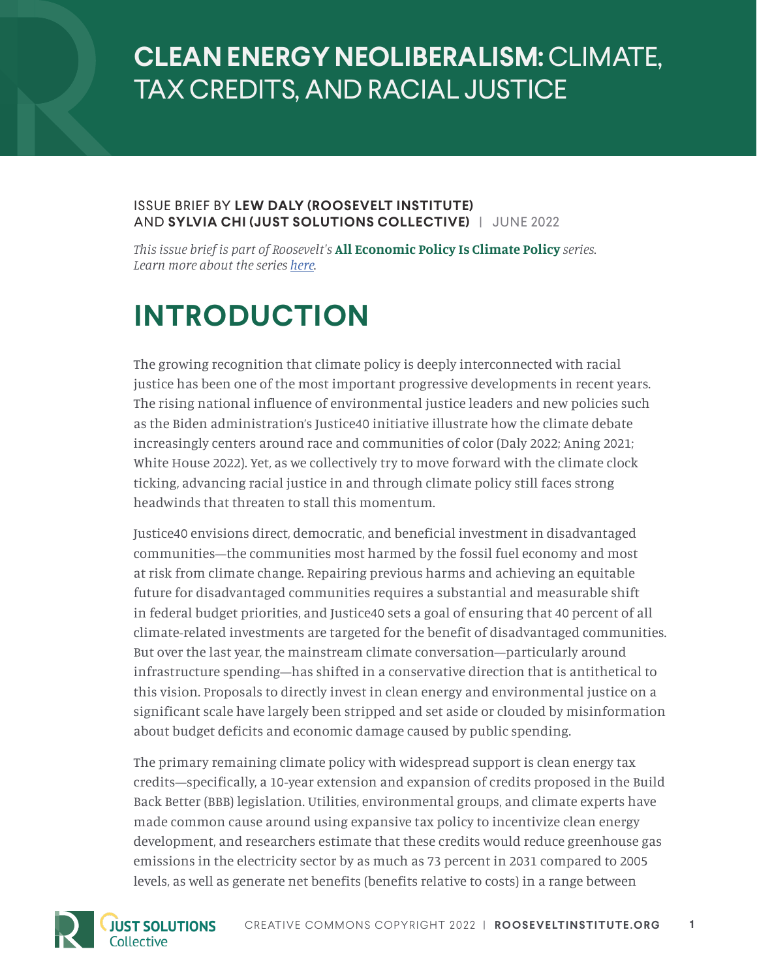## **CLEAN ENERGY NEOLIBERALISM:** CLIMATE, TAX CREDITS, AND RACIAL JUSTICE

#### ISSUE BRIEF BY **LEW DALY (ROOSEVELT INSTITUTE)**  AND **SYLVIA CHI (JUST SOLUTIONS COLLECTIVE)** | JUNE 2022

*This issue brief is part of Roosevelt's* **All Economic Policy Is Climate Policy** *series. Learn more about the series [here](https://rooseveltinstitute.org/publications/all-economic-policy-is-climate-policy).*

## **INTRODUCTION**

The growing recognition that climate policy is deeply interconnected with racial justice has been one of the most important progressive developments in recent years. The rising national influence of environmental justice leaders and new policies such as the Biden administration's Justice40 initiative illustrate how the climate debate increasingly centers around race and communities of color (Daly 2022; Aning 2021; White House 2022). Yet, as we collectively try to move forward with the climate clock ticking, advancing racial justice in and through climate policy still faces strong headwinds that threaten to stall this momentum.

Justice40 envisions direct, democratic, and beneficial investment in disadvantaged communities—the communities most harmed by the fossil fuel economy and most at risk from climate change. Repairing previous harms and achieving an equitable future for disadvantaged communities requires a substantial and measurable shift in federal budget priorities, and Justice40 sets a goal of ensuring that 40 percent of all climate-related investments are targeted for the benefit of disadvantaged communities. But over the last year, the mainstream climate conversation—particularly around infrastructure spending—has shifted in a conservative direction that is antithetical to this vision. Proposals to directly invest in clean energy and environmental justice on a significant scale have largely been stripped and set aside or clouded by misinformation about budget deficits and economic damage caused by public spending.

The primary remaining climate policy with widespread support is clean energy tax credits—specifically, a 10-year extension and expansion of credits proposed in the Build Back Better (BBB) legislation. [Utilities,](https://www.greenbiz.com/article/what-do-utility-companies-have-say-about-clean-energy-tax-credits) environmental groups, and climate experts have made common cause around using expansive tax policy to incentivize clean energy development, and researchers estimate that these credits would reduce greenhouse gas emissions in the electricity sector by as much as 73 percent in 2031 compared to 2005 levels, as well as generate net benefits (benefits relative to costs) in a range between

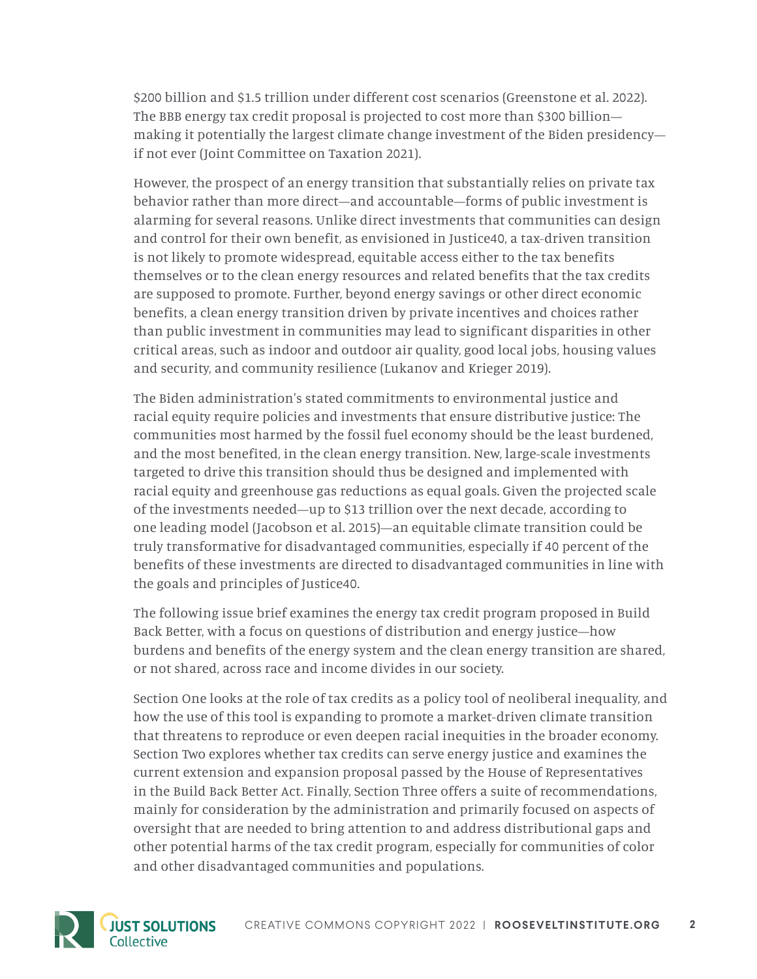\$200 billion and \$1.5 trillion under different cost scenarios (Greenstone et al. 2022). The BBB energy tax credit proposal is projected to cost more than \$300 billion making it potentially the largest climate change investment of the Biden presidency if not ever (Joint Committee on Taxation 2021).

However, the prospect of an energy transition that substantially relies on private tax behavior rather than more direct—and accountable—forms of public investment is alarming for several reasons. Unlike direct investments that communities can design and control for their own benefit, as envisioned in Justice40, a tax-driven transition is not likely to promote widespread, equitable access either to the tax benefits themselves or to the clean energy resources and related benefits that the tax credits are supposed to promote. Further, beyond energy savings or other direct economic benefits, a clean energy transition driven by private incentives and choices rather than public investment in communities may lead to significant disparities in other critical areas, such as indoor and outdoor air quality, good local jobs, housing values and security, and community resilience (Lukanov and Krieger 2019).

The Biden administration's stated commitments to environmental justice and racial equity require policies and investments that ensure distributive justice: The communities most harmed by the fossil fuel economy should be the least burdened, and the most benefited, in the clean energy transition. New, large-scale investments targeted to drive this transition should thus be designed and implemented with racial equity and greenhouse gas reductions as equal goals. Given the projected scale of the investments needed—up to \$13 trillion over the next decade, according to one leading model (Jacobson et al. 2015)—an equitable climate transition could be truly transformative for disadvantaged communities, especially if 40 percent of the benefits of these investments are directed to disadvantaged communities in line with the goals and principles of Justice40.

The following issue brief examines the energy tax credit program proposed in Build Back Better, with a focus on questions of distribution and energy justice—how burdens and benefits of the energy system and the clean energy transition are shared, or not shared, across race and income divides in our society.

Section One looks at the role of tax credits as a policy tool of neoliberal inequality, and how the use of this tool is expanding to promote a market-driven climate transition that threatens to reproduce or even deepen racial inequities in the broader economy. Section Two explores whether tax credits can serve energy justice and examines the current extension and expansion proposal passed by the House of Representatives in the Build Back Better Act. Finally, Section Three offers a suite of recommendations, mainly for consideration by the administration and primarily focused on aspects of oversight that are needed to bring attention to and address distributional gaps and other potential harms of the tax credit program, especially for communities of color and other disadvantaged communities and populations.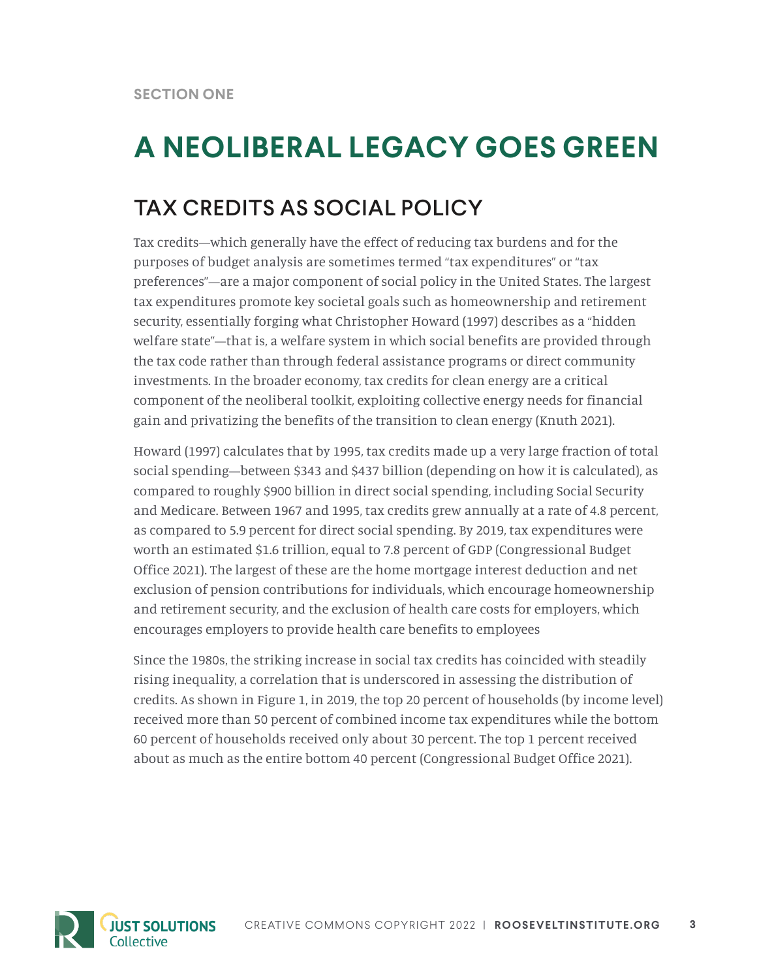## **A NEOLIBERAL LEGACY GOES GREEN**

### TAX CREDITS AS SOCIAL POLICY

Tax credits—which generally have the effect of reducing tax burdens and for the purposes of budget analysis are sometimes termed "tax expenditures" or "tax preferences"—are a major component of social policy in the United States. The largest tax expenditures promote key societal goals such as homeownership and retirement security, essentially forging what Christopher Howard (1997) describes as a "hidden welfare state"—that is, a welfare system in which social benefits are provided through the tax code rather than through federal assistance programs or direct community investments. In the broader economy, tax credits for clean energy are a critical component of the neoliberal toolkit, exploiting collective energy needs for financial gain and privatizing the benefits of the transition to clean energy (Knuth 2021).

Howard (1997) calculates that by 1995, tax credits made up a very large fraction of total social spending—between \$343 and \$437 billion (depending on how it is calculated), as compared to roughly \$900 billion in direct social spending, including Social Security and Medicare. Between 1967 and 1995, tax credits grew annually at a rate of 4.8 percent, as compared to 5.9 percent for direct social spending. By 2019, tax expenditures were worth an estimated \$1.6 trillion, equal to 7.8 percent of GDP (Congressional Budget Office 2021). The largest of these are the home mortgage interest deduction and net exclusion of pension contributions for individuals, which encourage homeownership and retirement security, and the exclusion of health care costs for employers, which encourages employers to provide health care benefits to employees

Since the 1980s, the striking increase in social tax credits has coincided with steadily rising inequality, a correlation that is underscored in assessing the distribution of credits. As shown in Figure 1, in 2019, the top 20 percent of households (by income level) received more than 50 percent of combined income tax expenditures while the bottom 60 percent of households received only about 30 percent. The top 1 percent received about as much as the entire bottom 40 percent (Congressional Budget Office 2021).

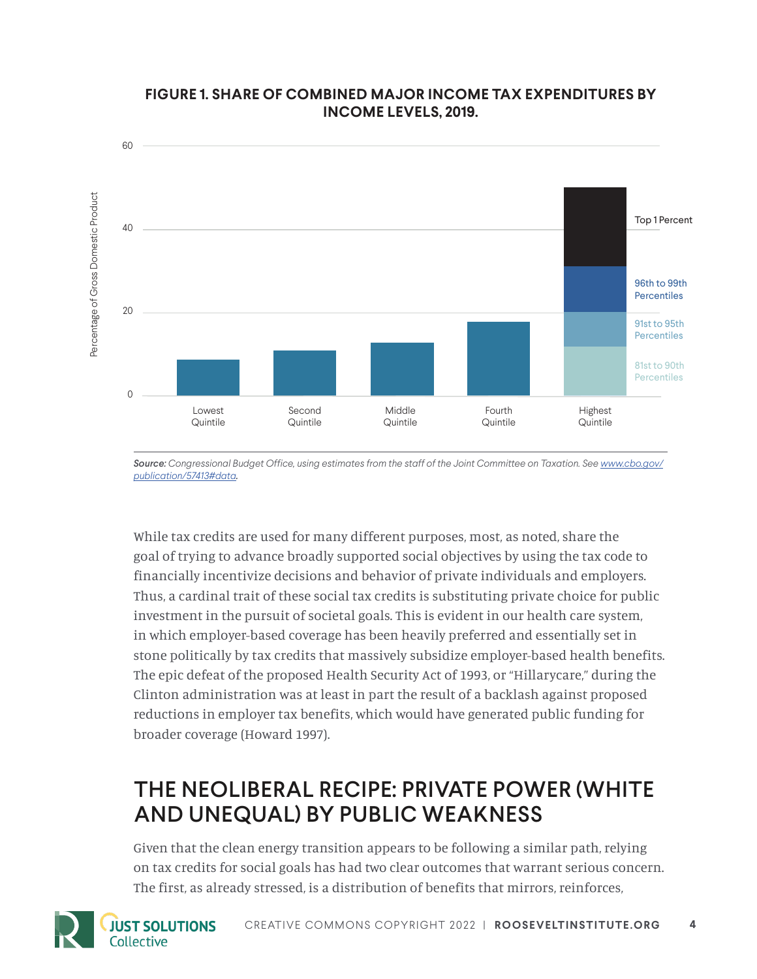

### **FIGURE 1. SHARE OF COMBINED MAJOR INCOME TAX EXPENDITURES BY INCOME LEVELS, 2019.**

**Source:** Congressional Budget Office, using estimates from the staff of the Joint Committee on Taxation. See [www.cbo.gov/](http://www.cbo.gov/publication/57413#data) *[publication/57413#data](http://www.cbo.gov/publication/57413#data).*

While tax credits are used for many different purposes, most, as noted, share the goal of trying to advance broadly supported social objectives by using the tax code to financially incentivize decisions and behavior of private individuals and employers. Thus, a cardinal trait of these social tax credits is substituting private choice for public investment in the pursuit of societal goals. This is evident in our health care system, in which employer-based coverage has been heavily preferred and essentially set in stone politically by tax credits that massively subsidize employer-based health benefits. The epic defeat of the proposed Health Security Act of 1993, or "Hillarycare," during the Clinton administration was at least in part the result of a backlash against proposed reductions in employer tax benefits, which would have generated public funding for broader coverage (Howard 1997).

### THE NEOLIBERAL RECIPE: PRIVATE POWER (WHITE AND UNEQUAL) BY PUBLIC WEAKNESS

Given that the clean energy transition appears to be following a similar path, relying on tax credits for social goals has had two clear outcomes that warrant serious concern. The first, as already stressed, is a distribution of benefits that mirrors, reinforces,



**JUST SOLUTIONS** 

Collective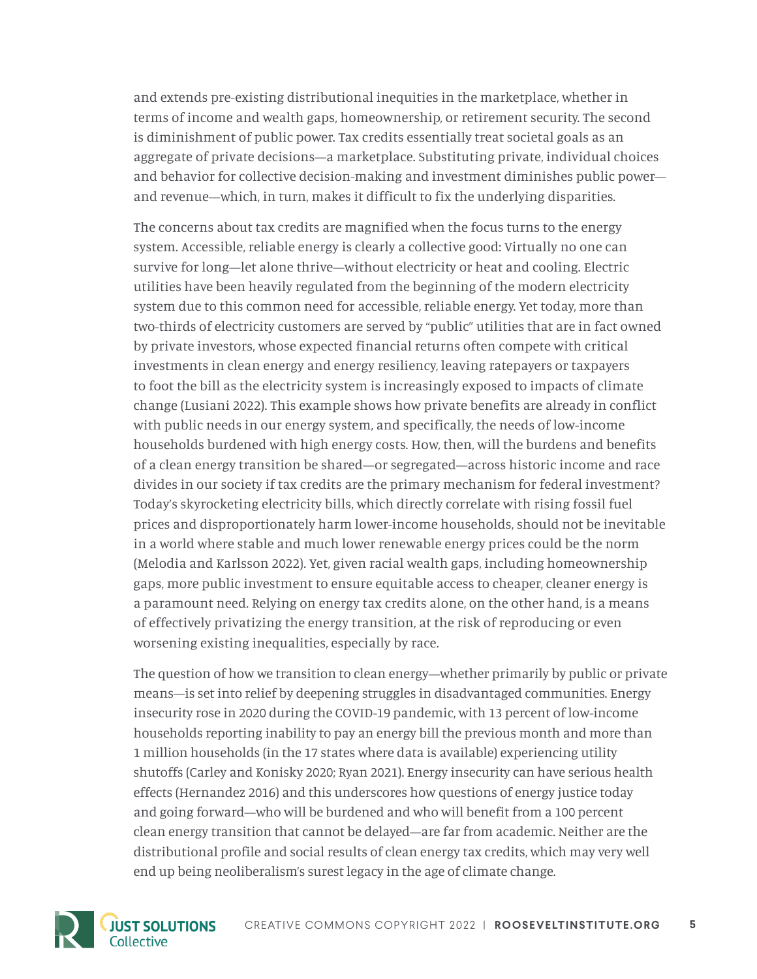and extends pre-existing distributional inequities in the marketplace, whether in terms of income and wealth gaps, homeownership, or retirement security. The second is diminishment of public power. Tax credits essentially treat societal goals as an aggregate of private decisions—a marketplace. Substituting private, individual choices and behavior for collective decision-making and investment diminishes public power and revenue—which, in turn, makes it difficult to fix the underlying disparities.

The concerns about tax credits are magnified when the focus turns to the energy system. Accessible, reliable energy is clearly a collective good: Virtually no one can survive for long—let alone thrive—without electricity or heat and cooling. Electric utilities have been heavily regulated from the beginning of the modern electricity system due to this common need for accessible, reliable energy. Yet today, more than two-thirds of electricity customers are served by "public" utilities that are in fact owned by private investors, whose expected financial returns often compete with critical investments in clean energy and energy resiliency, leaving ratepayers or taxpayers to foot the bill as the electricity system is increasingly exposed to impacts of climate change (Lusiani 2022). This example shows how private benefits are already in conflict with public needs in our energy system, and specifically, the needs of low-income households burdened with high energy costs. How, then, will the burdens and benefits of a clean energy transition be shared—or segregated—across historic income and race divides in our society if tax credits are the primary mechanism for federal investment? Today's skyrocketing electricity bills, which directly correlate with rising fossil fuel prices and disproportionately harm lower-income households, should not be inevitable in a world where stable and much lower renewable energy prices could be the norm (Melodia and Karlsson 2022). Yet, given racial wealth gaps, including homeownership gaps, more public investment to ensure equitable access to cheaper, cleaner energy is a paramount need. Relying on energy tax credits alone, on the other hand, is a means of effectively privatizing the energy transition, at the risk of reproducing or even worsening existing inequalities, especially by race.

The question of how we transition to clean energy—whether primarily by public or private means—is set into relief by deepening struggles in disadvantaged communities. Energy insecurity rose in 2020 during the COVID-19 pandemic, with 13 percent of low-income households reporting inability to pay an energy bill the previous month and more than 1 million households (in the 17 states where data is available) experiencing utility shutoffs (Carley and Konisky 2020; Ryan 2021). Energy insecurity can have serious health effects (Hernandez 2016) and this underscores how questions of energy justice today and going forward—who will be burdened and who will benefit from a 100 percent clean energy transition that cannot be delayed—are far from academic. Neither are the distributional profile and social results of clean energy tax credits, which may very well end up being neoliberalism's surest legacy in the age of climate change.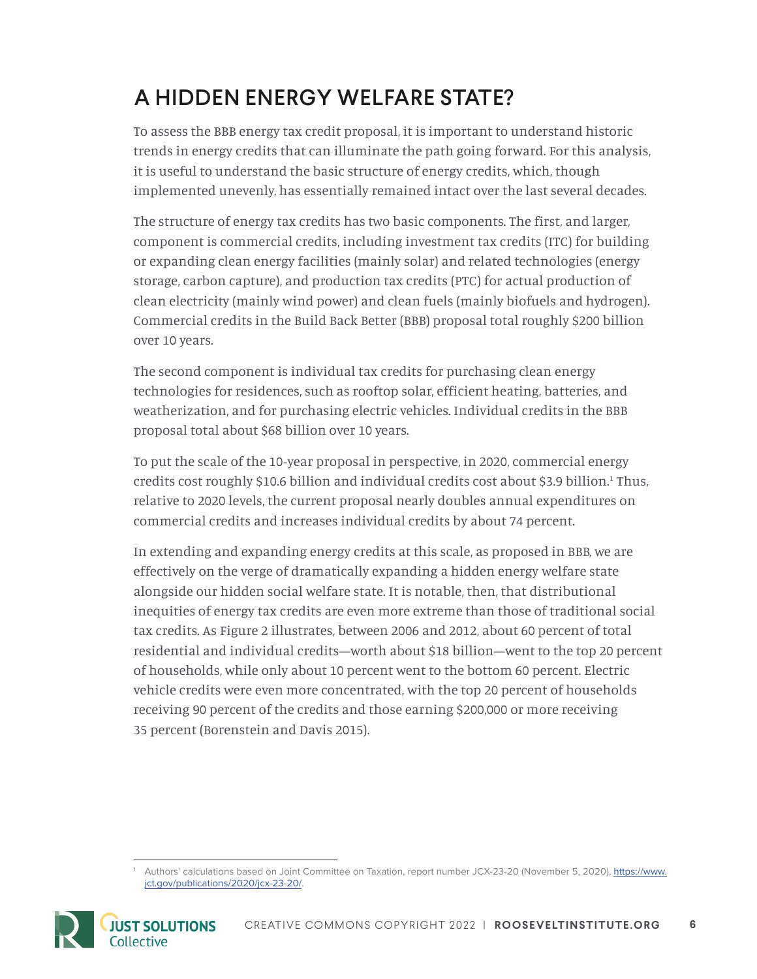## A HIDDEN ENERGY WELFARE STATE?

To assess the BBB energy tax credit proposal, it is important to understand historic trends in energy credits that can illuminate the path going forward. For this analysis, it is useful to understand the basic structure of energy credits, which, though implemented unevenly, has essentially remained intact over the last several decades.

The structure of energy tax credits has two basic components. The first, and larger, component is commercial credits, including investment tax credits (ITC) for building or expanding clean energy facilities (mainly solar) and related technologies (energy storage, carbon capture), and production tax credits (PTC) for actual production of clean electricity (mainly wind power) and clean fuels (mainly biofuels and hydrogen). Commercial credits in the Build Back Better (BBB) proposal total roughly \$200 billion over 10 years.

The second component is individual tax credits for purchasing clean energy technologies for residences, such as rooftop solar, efficient heating, batteries, and weatherization, and for purchasing electric vehicles. Individual credits in the BBB proposal total about \$68 billion over 10 years.

To put the scale of the 10-year proposal in perspective, in 2020, commercial energy credits cost roughly \$10.6 billion and individual credits cost about \$3.9 billion.<sup>1</sup> Thus, relative to 2020 levels, the current proposal nearly doubles annual expenditures on commercial credits and increases individual credits by about 74 percent.

In extending and expanding energy credits at this scale, as proposed in BBB, we are effectively on the verge of dramatically expanding a hidden energy welfare state alongside our hidden social welfare state. It is notable, then, that distributional inequities of energy tax credits are even more extreme than those of traditional social tax credits. As Figure 2 illustrates, between 2006 and 2012, about 60 percent of total residential and individual credits—worth about \$18 billion—went to the top 20 percent of households, while only about 10 percent went to the bottom 60 percent. Electric vehicle credits were even more concentrated, with the top 20 percent of households receiving 90 percent of the credits and those earning \$200,000 or more receiving 35 percent (Borenstein and Davis 2015).

<sup>1</sup> Authors' calculations based on Joint Committee on Taxation, report number JCX-23-20 (November 5, 2020), [https://www.](https://www.jct.gov/publications/2020/jcx-23-20/) [jct.gov/publications/2020/jcx-23-20/](https://www.jct.gov/publications/2020/jcx-23-20/).

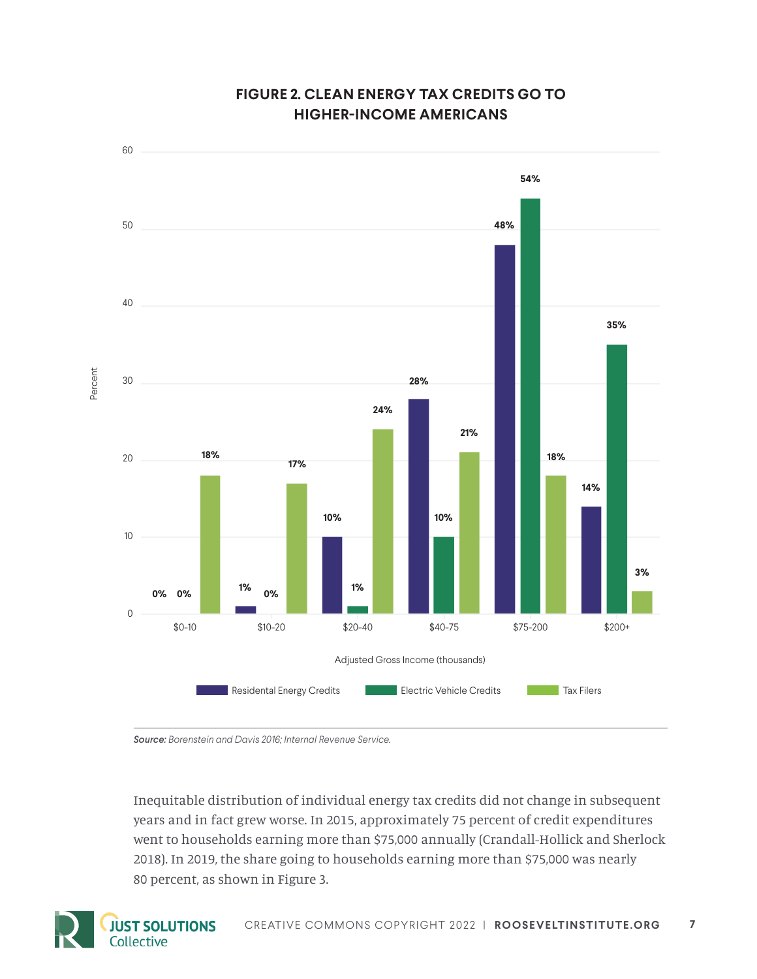

### **FIGURE 2. CLEAN ENERGY TAX CREDITS GO TO HIGHER-INCOME AMERICANS**

*Source: Borenstein and Davis 2016; Internal Revenue Service.*

Inequitable distribution of individual energy tax credits did not change in subsequent years and in fact grew worse. In 2015, approximately 75 percent of credit expenditures went to households earning more than \$75,000 annually (Crandall-Hollick and Sherlock 2018). In 2019, the share going to households earning more than \$75,000 was nearly 80 percent, as shown in Figure 3.

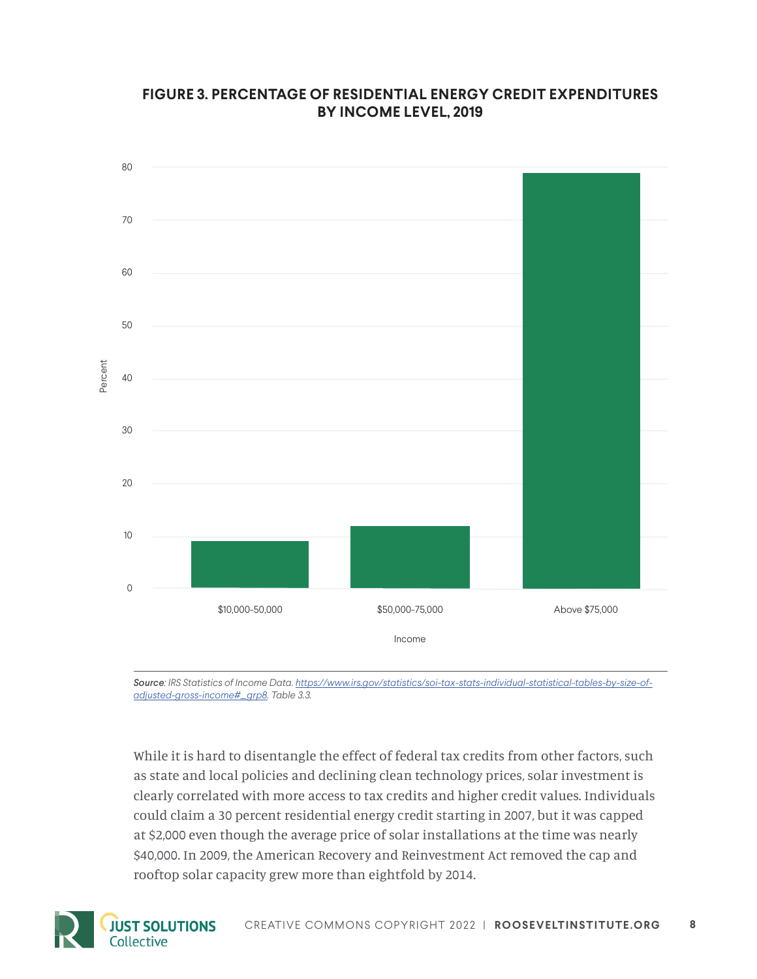### **FIGURE 3. PERCENTAGE OF RESIDENTIAL ENERGY CREDIT EXPENDITURES BY INCOME LEVEL, 2019**



*Source: IRS Statistics of Income Data. [https://www.irs.gov/statistics/soi-tax-stats-individual-statistical-tables-by-size-of](https://www.irs.gov/statistics/soi-tax-stats-individual-statistical-tables-by-size-of-adjusted-gross-income#_grp8)[adjusted-gross-income#\\_grp8](https://www.irs.gov/statistics/soi-tax-stats-individual-statistical-tables-by-size-of-adjusted-gross-income#_grp8). Table 3.3.* 

While it is hard to disentangle the effect of federal tax credits from other factors, such as state and local policies and declining clean technology prices, solar investment is clearly correlated with more access to tax credits and higher credit values. Individuals could claim a 30 percent residential energy credit starting in 2007, but it was capped at \$2,000 even though the average price of solar installations at the time was nearly \$40,000. In 2009, the American Recovery and Reinvestment Act removed the cap and rooftop solar capacity grew more than eightfold by 2014.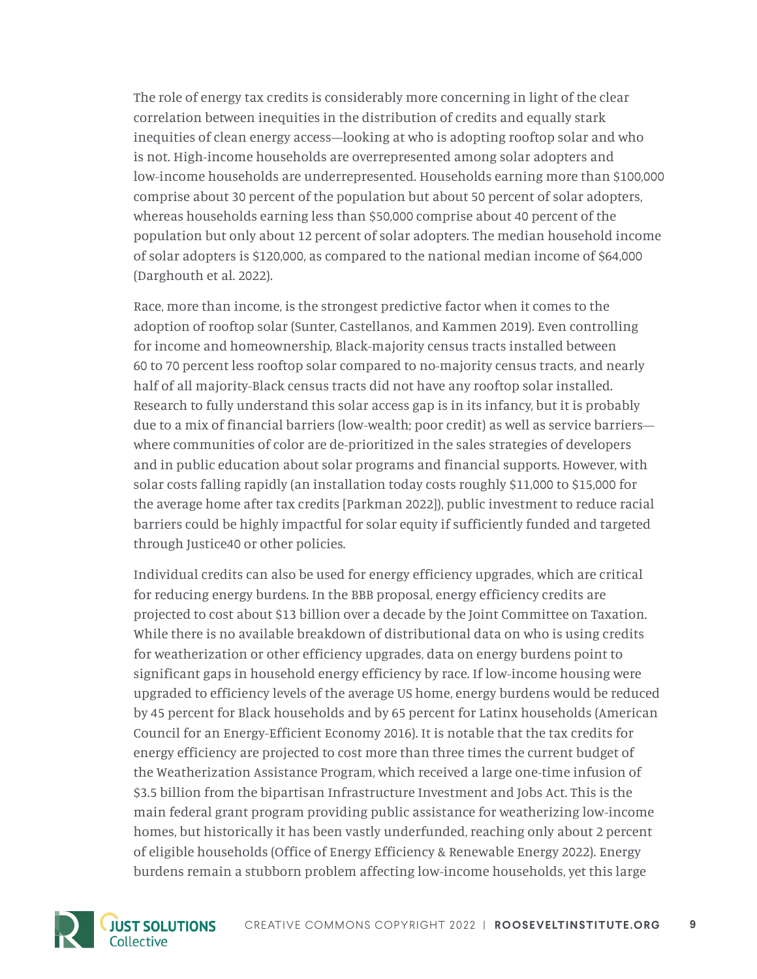The role of energy tax credits is considerably more concerning in light of the clear correlation between inequities in the distribution of credits and equally stark inequities of clean energy access—looking at who is adopting rooftop solar and who is not. High-income households are overrepresented among solar adopters and low-income households are underrepresented. Households earning more than \$100,000 comprise about 30 percent of the population but about 50 percent of solar adopters, whereas households earning less than \$50,000 comprise about 40 percent of the population but only about 12 percent of solar adopters. The median household income of solar adopters is \$120,000, as compared to the national median income of \$64,000 (Darghouth et al. 2022).

Race, more than income, is the strongest predictive factor when it comes to the adoption of rooftop solar (Sunter, Castellanos, and Kammen 2019). Even controlling for income and homeownership, Black-majority census tracts installed between 60 to 70 percent less rooftop solar compared to no-majority census tracts, and nearly half of all majority-Black census tracts did not have any rooftop solar installed. Research to fully understand this solar access gap is in its infancy, but it is probably due to a mix of financial barriers (low-wealth; poor credit) as well as service barriers where communities of color are de-prioritized in the sales strategies of developers and in public education about solar programs and financial supports. However, with solar costs falling rapidly (an installation today costs roughly \$11,000 to \$15,000 for the average home after tax credits [Parkman 2022]), public investment to reduce racial barriers could be highly impactful for solar equity if sufficiently funded and targeted through Justice40 or other policies.

Individual credits can also be used for energy efficiency upgrades, which are critical for reducing energy burdens. In the BBB proposal, energy efficiency credits are projected to cost about \$13 billion over a decade by the Joint Committee on Taxation. While there is no available breakdown of distributional data on who is using credits for weatherization or other efficiency upgrades, data on energy burdens point to significant gaps in household energy efficiency by race. If low-income housing were upgraded to efficiency levels of the average US home, energy burdens would be reduced by 45 percent for Black households and by 65 percent for Latinx households (American Council for an Energy-Efficient Economy 2016). It is notable that the tax credits for energy efficiency are projected to cost more than three times the current budget of the Weatherization Assistance Program, which received a large one-time infusion of \$3.5 billion from the bipartisan Infrastructure Investment and Jobs Act. This is the main federal grant program providing public assistance for weatherizing low-income homes, but historically it has been vastly underfunded, reaching only about 2 percent of eligible households (Office of Energy Efficiency & Renewable Energy 2022). Energy burdens remain a stubborn problem affecting low-income households, yet this large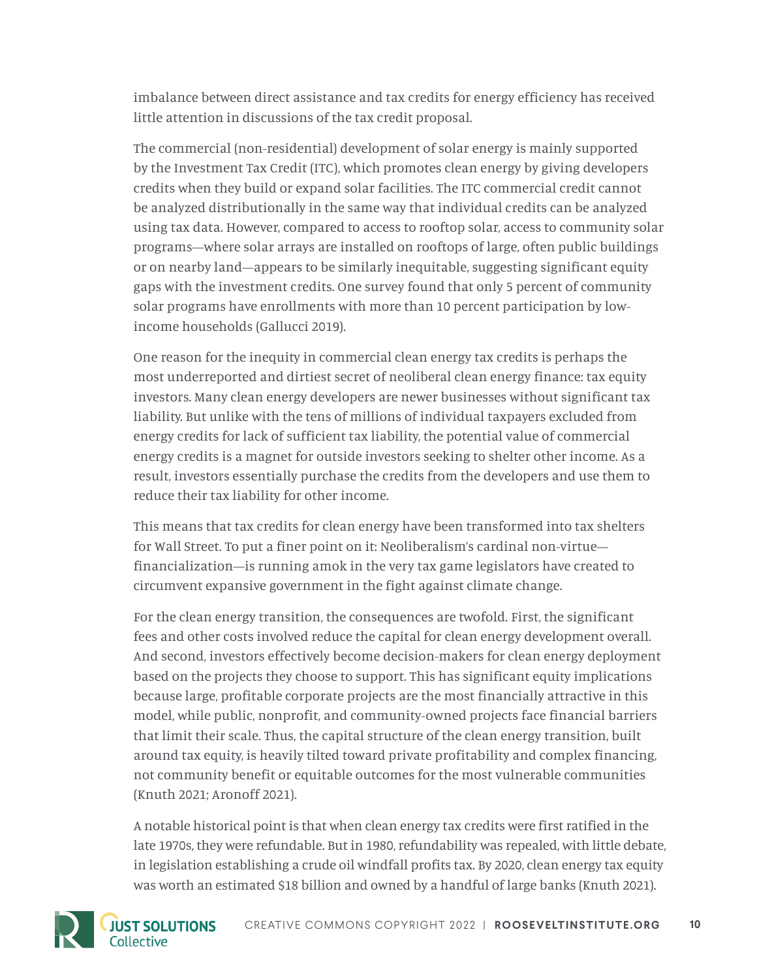imbalance between direct assistance and tax credits for energy efficiency has received little attention in discussions of the tax credit proposal.

The commercial (non-residential) development of solar energy is mainly supported by the Investment Tax Credit (ITC), which promotes clean energy by giving developers credits when they build or expand solar facilities. The ITC commercial credit cannot be analyzed distributionally in the same way that individual credits can be analyzed using tax data. However, compared to access to rooftop solar, access to community solar programs—where solar arrays are installed on rooftops of large, often public buildings or on nearby land—appears to be similarly inequitable, suggesting significant equity gaps with the investment credits. One survey found that only 5 percent of community solar programs have enrollments with more than 10 percent participation by lowincome households (Gallucci 2019).

One reason for the inequity in commercial clean energy tax credits is perhaps the most underreported and dirtiest secret of neoliberal clean energy finance: tax equity investors. Many clean energy developers are newer businesses without significant tax liability. But unlike with the tens of millions of individual taxpayers excluded from energy credits for lack of sufficient tax liability, the potential value of commercial energy credits is a magnet for outside investors seeking to shelter other income. As a result, investors essentially purchase the credits from the developers and use them to reduce their tax liability for other income.

This means that tax credits for clean energy have been transformed into tax shelters for Wall Street. To put a finer point on it: Neoliberalism's cardinal non-virtue financialization—is running amok in the very tax game legislators have created to circumvent expansive government in the fight against climate change.

For the clean energy transition, the consequences are twofold. First, the significant fees and other costs involved reduce the capital for clean energy development overall. And second, investors effectively become decision-makers for clean energy deployment based on the projects they choose to support. This has significant equity implications because large, profitable corporate projects are the most financially attractive in this model, while public, nonprofit, and community-owned projects face financial barriers that limit their scale. Thus, the capital structure of the clean energy transition, built around tax equity, is heavily tilted toward private profitability and complex financing, not community benefit or equitable outcomes for the most vulnerable communities (Knuth 2021; Aronoff 2021).

A notable historical point is that when clean energy tax credits were first ratified in the late 1970s, they were refundable. But in 1980, refundability was repealed, with little debate, in legislation establishing a crude oil windfall profits tax. By 2020, clean energy tax equity was worth an estimated \$18 billion and owned by a handful of large banks (Knuth 2021).



**JUST SOLUTIONS**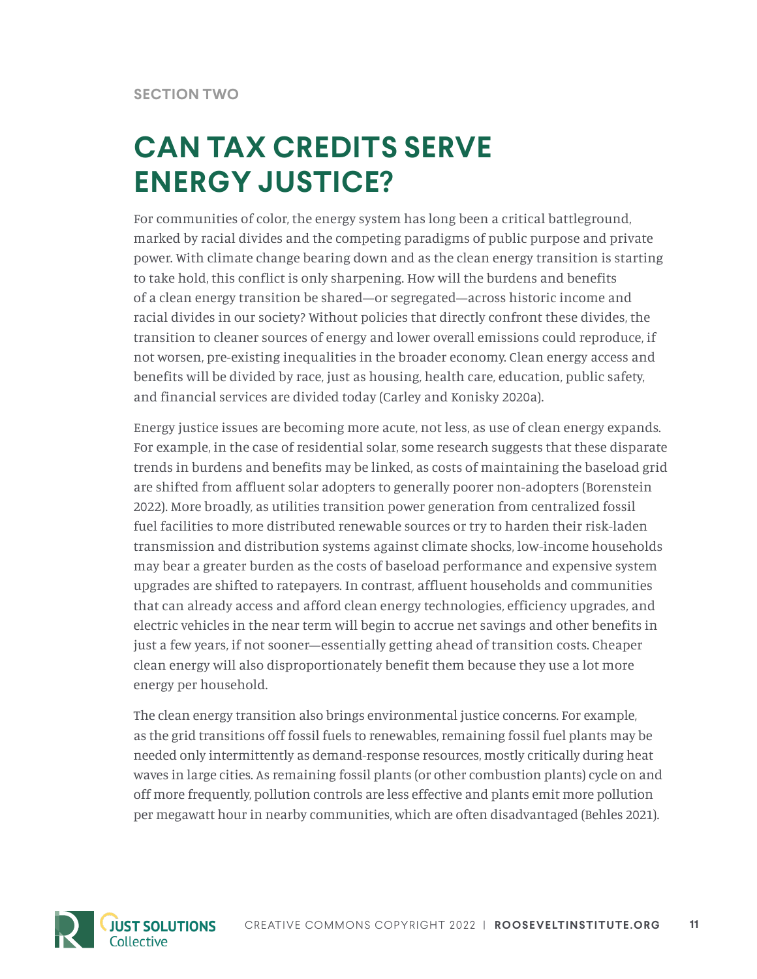## **CAN TAX CREDITS SERVE ENERGY JUSTICE?**

For communities of color, the energy system has long been a critical battleground, marked by racial divides and the competing paradigms of public purpose and private power. With climate change bearing down and as the clean energy transition is starting to take hold, this conflict is only sharpening. How will the burdens and benefits of a clean energy transition be shared—or segregated—across historic income and racial divides in our society? Without policies that directly confront these divides, the transition to cleaner sources of energy and lower overall emissions could reproduce, if not worsen, pre-existing inequalities in the broader economy. Clean energy access and benefits will be divided by race, just as housing, health care, education, public safety, and financial services are divided today (Carley and Konisky 2020a).

Energy justice issues are becoming more acute, not less, as use of clean energy expands. For example, in the case of residential solar, some research suggests that these disparate trends in burdens and benefits may be linked, as costs of maintaining the baseload grid are shifted from affluent solar adopters to generally poorer non-adopters (Borenstein 2022). More broadly, as utilities transition power generation from centralized fossil fuel facilities to more distributed renewable sources or try to harden their risk-laden transmission and distribution systems against climate shocks, low-income households may bear a greater burden as the costs of baseload performance and expensive system upgrades are shifted to ratepayers. In contrast, affluent households and communities that can already access and afford clean energy technologies, efficiency upgrades, and electric vehicles in the near term will begin to accrue net savings and other benefits in just a few years, if not sooner—essentially getting ahead of transition costs. Cheaper clean energy will also disproportionately benefit them because they use a lot more energy per household.

The clean energy transition also brings environmental justice concerns. For example, as the grid transitions off fossil fuels to renewables, remaining fossil fuel plants may be needed only intermittently as demand-response resources, mostly critically during heat waves in large cities. As remaining fossil plants (or other combustion plants) cycle on and off more frequently, pollution controls are less effective and plants emit more pollution per megawatt hour in nearby communities, which are often disadvantaged (Behles 2021).

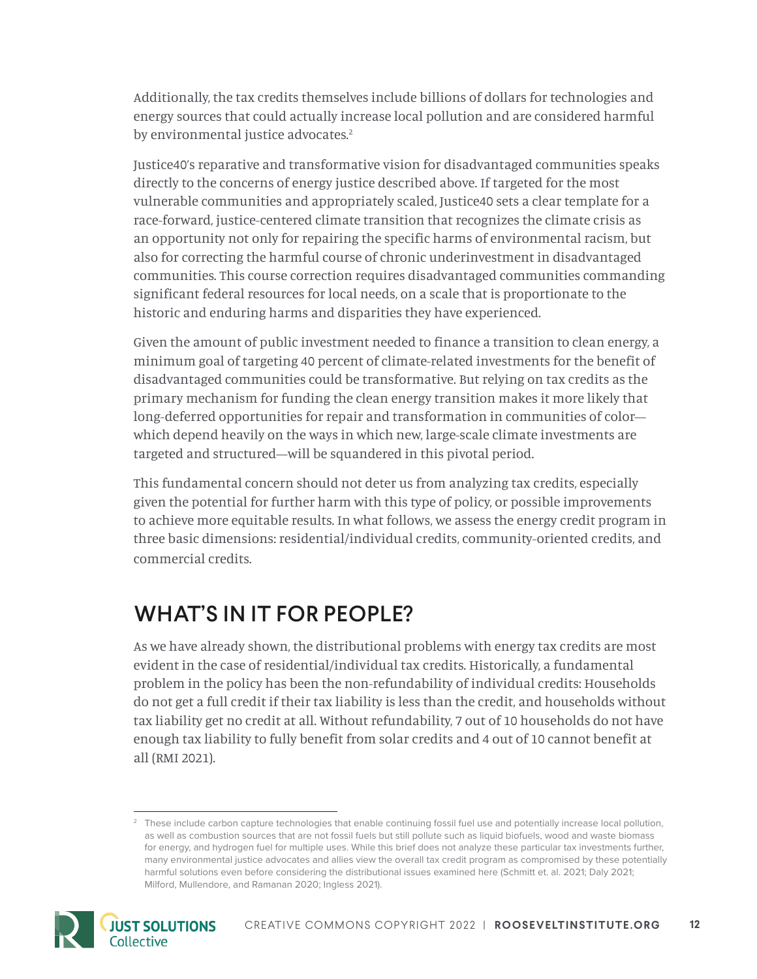Additionally, the tax credits themselves include billions of dollars for technologies and energy sources that could actually increase local pollution and are considered harmful by environmental justice advocates.<sup>2</sup>

Justice40's reparative and transformative vision for disadvantaged communities speaks directly to the concerns of energy justice described above. If targeted for the most vulnerable communities and appropriately scaled, Justice40 sets a clear template for a race-forward, justice-centered climate transition that recognizes the climate crisis as an opportunity not only for repairing the specific harms of environmental racism, but also for correcting the harmful course of chronic underinvestment in disadvantaged communities. This course correction requires disadvantaged communities commanding significant federal resources for local needs, on a scale that is proportionate to the historic and enduring harms and disparities they have experienced.

Given the amount of public investment needed to finance a transition to clean energy, a minimum goal of targeting 40 percent of climate-related investments for the benefit of disadvantaged communities could be transformative. But relying on tax credits as the primary mechanism for funding the clean energy transition makes it more likely that long-deferred opportunities for repair and transformation in communities of color which depend heavily on the ways in which new, large-scale climate investments are targeted and structured—will be squandered in this pivotal period.

This fundamental concern should not deter us from analyzing tax credits, especially given the potential for further harm with this type of policy, or possible improvements to achieve more equitable results. In what follows, we assess the energy credit program in three basic dimensions: residential/individual credits, community-oriented credits, and commercial credits.

### WHAT'S IN IT FOR PEOPLE?

As we have already shown, the distributional problems with energy tax credits are most evident in the case of residential/individual tax credits. Historically, a fundamental problem in the policy has been the non-refundability of individual credits: Households do not get a full credit if their tax liability is less than the credit, and households without tax liability get no credit at all. Without refundability, 7 out of 10 households do not have enough tax liability to fully benefit from solar credits and 4 out of 10 [cannot benefit at](https://rmi.org/congress-cannot-ignore-residential-solar-tax-credit-inequities/)  [all](https://rmi.org/congress-cannot-ignore-residential-solar-tax-credit-inequities/) (RMI 2021).

<sup>&</sup>lt;sup>2</sup> These include carbon capture technologies that enable continuing fossil fuel use and potentially increase local pollution, as well as combustion sources that are not fossil fuels but still pollute such as liquid biofuels, wood and waste biomass for energy, and hydrogen fuel for multiple uses. While this brief does not analyze these particular tax investments further, many environmental justice advocates and allies view the overall tax credit program as compromised by these potentially harmful solutions even before considering the distributional issues examined here (Schmitt et. al. 2021; Daly 2021; Milford, Mullendore, and Ramanan 2020; Ingless 2021).

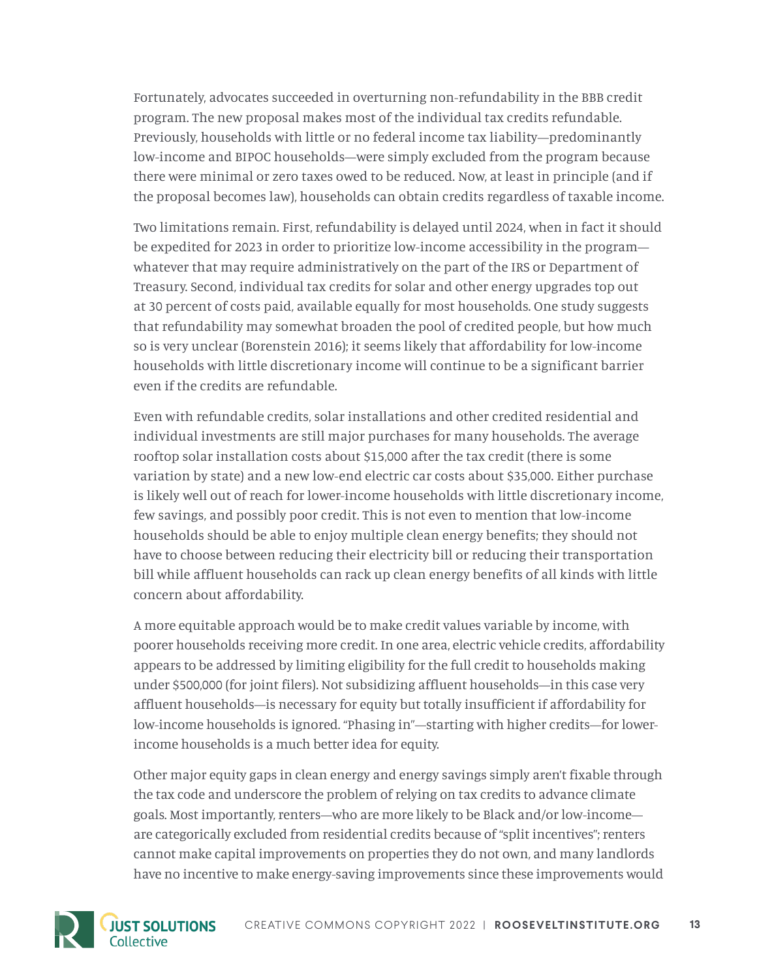Fortunately, advocates succeeded in overturning non-refundability in the BBB credit program. The new proposal makes most of the individual tax credits refundable. Previously, households with little or no federal income tax liability—predominantly low-income and BIPOC households—were simply excluded from the program because there were minimal or zero taxes owed to be reduced. Now, at least in principle (and if the proposal becomes law), households can obtain credits regardless of taxable income.

Two limitations remain. First, refundability is delayed until 2024, when in fact it should be expedited for 2023 in order to prioritize low-income accessibility in the program whatever that may require administratively on the part of the IRS or Department of Treasury. Second, individual tax credits for solar and other energy upgrades top out at 30 percent of costs paid, available equally for most households. One study suggests that refundability may somewhat broaden the pool of credited people, but how much so is very unclear (Borenstein 2016); it seems likely that affordability for low-income households with little discretionary income will continue to be a significant barrier even if the credits are refundable.

Even with refundable credits, solar installations and other credited residential and individual investments are still major purchases for many households. The average rooftop solar installation costs about \$15,000 after the tax credit (there is some variation by state) and a new low-end electric car costs about \$35,000. Either purchase is likely well out of reach for lower-income households with little discretionary income, few savings, and possibly poor credit. This is not even to mention that low-income households should be able to enjoy multiple clean energy benefits; they should not have to choose between reducing their electricity bill or reducing their transportation bill while affluent households can rack up clean energy benefits of all kinds with little concern about affordability.

A more equitable approach would be to make credit values variable by income, with poorer households receiving more credit. In one area, electric vehicle credits, affordability appears to be addressed by limiting eligibility for the full credit to households making under \$500,000 (for joint filers). Not subsidizing affluent households—in this case very affluent households—is necessary for equity but totally insufficient if affordability for low-income households is ignored. "Phasing in"—starting with higher credits—for lowerincome households is a much better idea for equity.

Other major equity gaps in clean energy and energy savings simply aren't fixable through the tax code and underscore the problem of relying on tax credits to advance climate goals. Most importantly, renters—who are more likely to be Black and/or low-income are categorically excluded from residential credits because of "split incentives"; renters cannot make capital improvements on properties they do not own, and many landlords have no incentive to make energy-saving improvements since these improvements would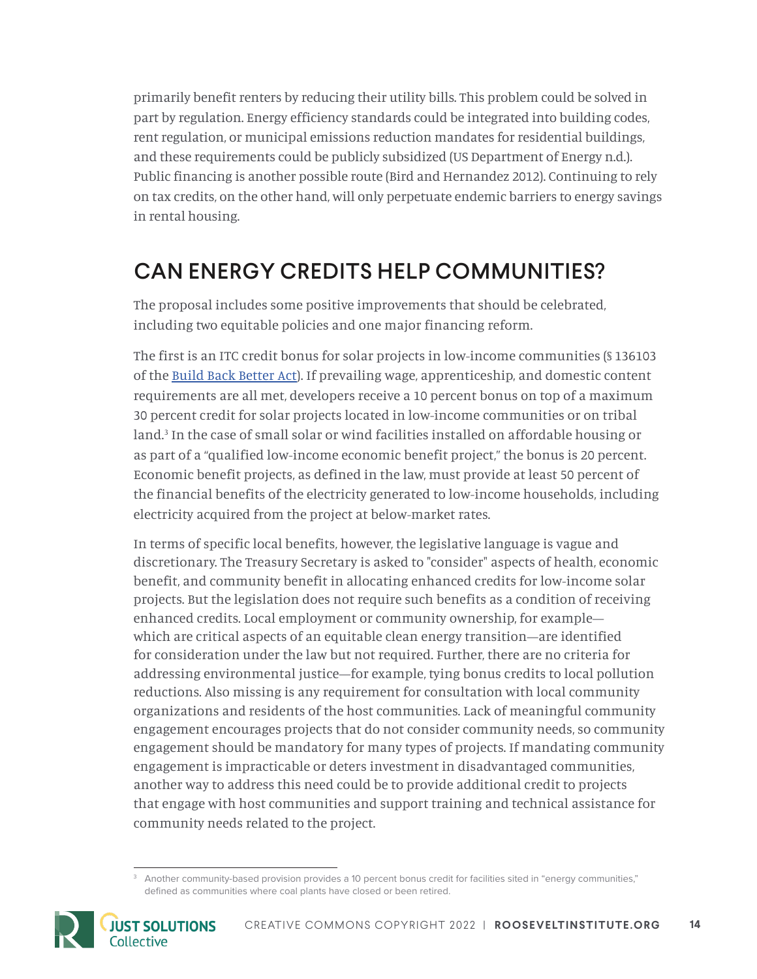primarily benefit renters by reducing their utility bills. This problem could be solved in part by regulation. Energy efficiency standards could be integrated into building codes, rent regulation, or municipal emissions reduction mandates for residential buildings, and these requirements could be publicly subsidized (US Department of Energy n.d.). Public financing is another possible route (Bird and Hernandez 2012). Continuing to rely on tax credits, on the other hand, will only perpetuate endemic barriers to energy savings in rental housing.

### CAN ENERGY CREDITS HELP COMMUNITIES?

The proposal includes some positive improvements that should be celebrated, including two equitable policies and one major financing reform.

The first is an ITC credit bonus for solar projects in low-income communities (§ 136103 of the [Build Back Better Act](https://www.congress.gov/bill/117th-congress/house-bill/5376/text)). If prevailing wage, apprenticeship, and domestic content requirements are all met, developers receive a 10 percent bonus on top of a maximum 30 percent credit for solar projects located in low-income communities or on tribal land.3 In the case of small solar or wind facilities installed on affordable housing or as part of a "qualified low-income economic benefit project," the bonus is 20 percent. Economic benefit projects, as defined in the law, must provide at least 50 percent of the financial benefits of the electricity generated to low-income households, including electricity acquired from the project at below-market rates.

In terms of specific local benefits, however, the legislative language is vague and discretionary. The Treasury Secretary is asked to "consider" aspects of health, economic benefit, and community benefit in allocating enhanced credits for low-income solar projects. But the legislation does not require such benefits as a condition of receiving enhanced credits. Local employment or community ownership, for example which are critical aspects of an equitable clean energy transition—are identified for consideration under the law but not required. Further, there are no criteria for addressing environmental justice—for example, tying bonus credits to local pollution reductions. Also missing is any requirement for consultation with local community organizations and residents of the host communities. Lack of meaningful community engagement encourages projects that do not consider community needs, so community engagement should be mandatory for many types of projects. If mandating community engagement is impracticable or deters investment in disadvantaged communities, another way to address this need could be to provide additional credit to projects that engage with host communities and support training and technical assistance for community needs related to the project.

<sup>&</sup>lt;sup>3</sup> Another community-based provision provides a 10 percent bonus credit for facilities sited in "energy communities," defined as communities where coal plants have closed or been retired.

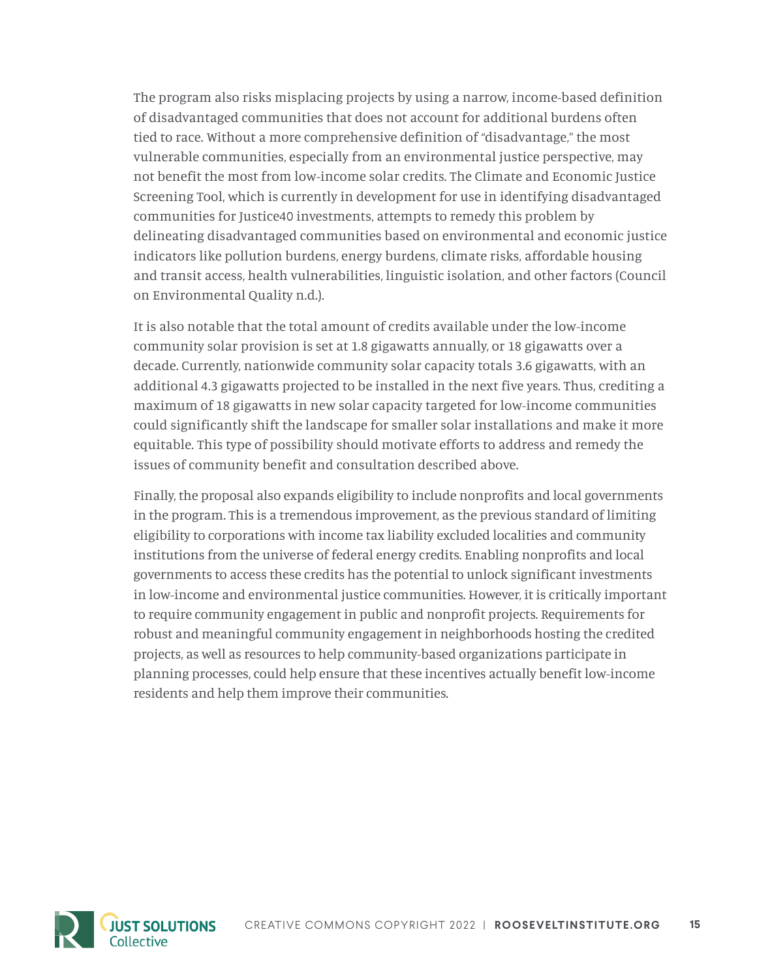The program also risks misplacing projects by using a narrow, income-based definition of disadvantaged communities that does not account for additional burdens often tied to race. Without a more comprehensive definition of "disadvantage," the most vulnerable communities, especially from an environmental justice perspective, may not benefit the most from low-income solar credits. The Climate and Economic Justice Screening Tool, which is currently in development for use in identifying disadvantaged communities for Justice40 investments, attempts to remedy this problem by delineating disadvantaged communities based on environmental and economic justice indicators like pollution burdens, energy burdens, climate risks, affordable housing and transit access, health vulnerabilities, linguistic isolation, and other factors (Council on Environmental Quality n.d.).

It is also notable that the total amount of credits available under the low-income community solar provision is set at 1.8 gigawatts annually, or 18 gigawatts over a decade. Currently, nationwide community solar capacity totals 3.6 gigawatts, with an additional 4.3 gigawatts projected to be installed in the next five years. Thus, crediting a maximum of 18 gigawatts in new solar capacity targeted for low-income communities could significantly shift the landscape for smaller solar installations and make it more equitable. This type of possibility should motivate efforts to address and remedy the issues of community benefit and consultation described above.

Finally, the proposal also expands eligibility to include nonprofits and local governments in the program. This is a tremendous improvement, as the previous standard of limiting eligibility to corporations with income tax liability excluded localities and community institutions from the universe of federal energy credits. Enabling nonprofits and local governments to access these credits has the potential to unlock significant investments in low-income and environmental justice communities. However, it is critically important to require community engagement in public and nonprofit projects. Requirements for robust and meaningful community engagement in neighborhoods hosting the credited projects, as well as resources to help community-based organizations participate in planning processes, could help ensure that these incentives actually benefit low-income residents and help them improve their communities.

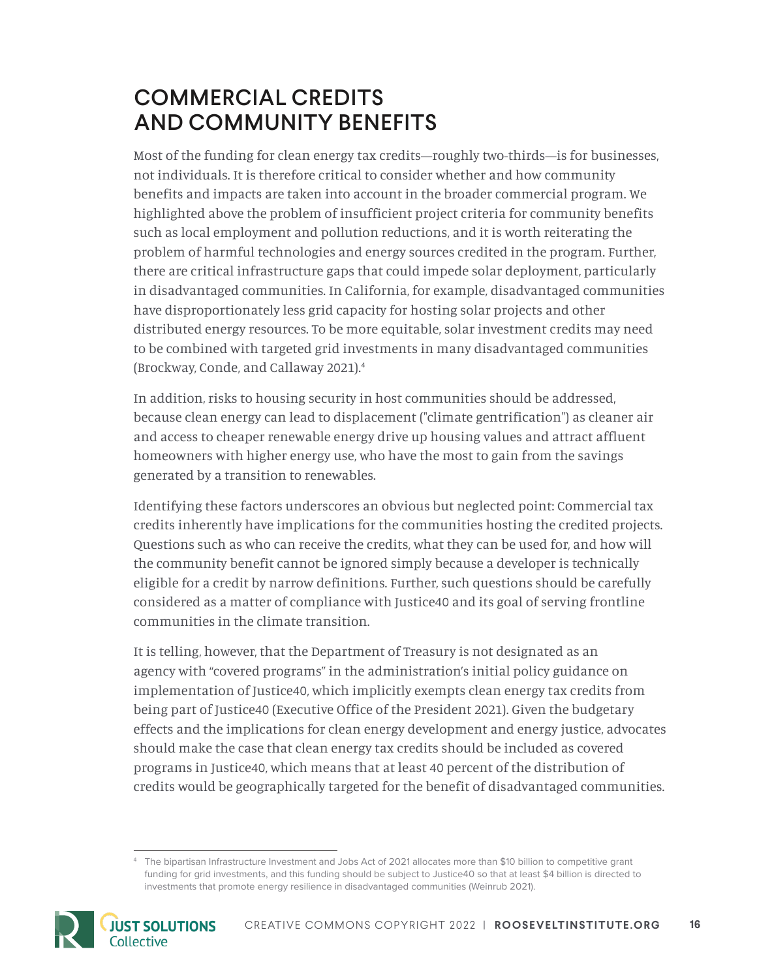### COMMERCIAL CREDITS AND COMMUNITY BENEFITS

Most of the funding for clean energy tax credits—roughly two-thirds—is for businesses, not individuals. It is therefore critical to consider whether and how community benefits and impacts are taken into account in the broader commercial program. We highlighted above the problem of insufficient project criteria for community benefits such as local employment and pollution reductions, and it is worth reiterating the problem of harmful technologies and energy sources credited in the program. Further, there are critical infrastructure gaps that could impede solar deployment, particularly in disadvantaged communities. In California, for example, disadvantaged communities have disproportionately less grid capacity for hosting solar projects and other distributed energy resources. To be more equitable, solar investment credits may need to be combined with targeted grid investments in many disadvantaged communities (Brockway, Conde, and Callaway 2021).4

In addition, risks to housing security in host communities should be addressed, because clean energy can lead to displacement ("climate gentrification") as cleaner air and access to cheaper renewable energy drive up housing values and attract affluent homeowners with higher energy use, who have the most to gain from the savings generated by a transition to renewables.

Identifying these factors underscores an obvious but neglected point: Commercial tax credits inherently have implications for the communities hosting the credited projects. Questions such as who can receive the credits, what they can be used for, and how will the community benefit cannot be ignored simply because a developer is technically eligible for a credit by narrow definitions. Further, such questions should be carefully considered as a matter of compliance with Justice40 and its goal of serving frontline communities in the climate transition.

It is telling, however, that the Department of Treasury is not designated as an agency with "covered programs" in the administration's initial policy guidance on implementation of Justice40, which implicitly exempts clean energy tax credits from being part of Justice40 (Executive Office of the President 2021). Given the budgetary effects and the implications for clean energy development and energy justice, advocates should make the case that clean energy tax credits should be included as covered programs in Justice40, which means that at least 40 percent of the distribution of credits would be geographically targeted for the benefit of disadvantaged communities.

<sup>4</sup> The bipartisan Infrastructure Investment and Jobs Act of 2021 allocates more than \$10 billion to competitive grant funding for grid investments, and this funding should be subject to Justice40 so that at least \$4 billion is directed to investments that promote energy resilience in disadvantaged communities (Weinrub 2021).

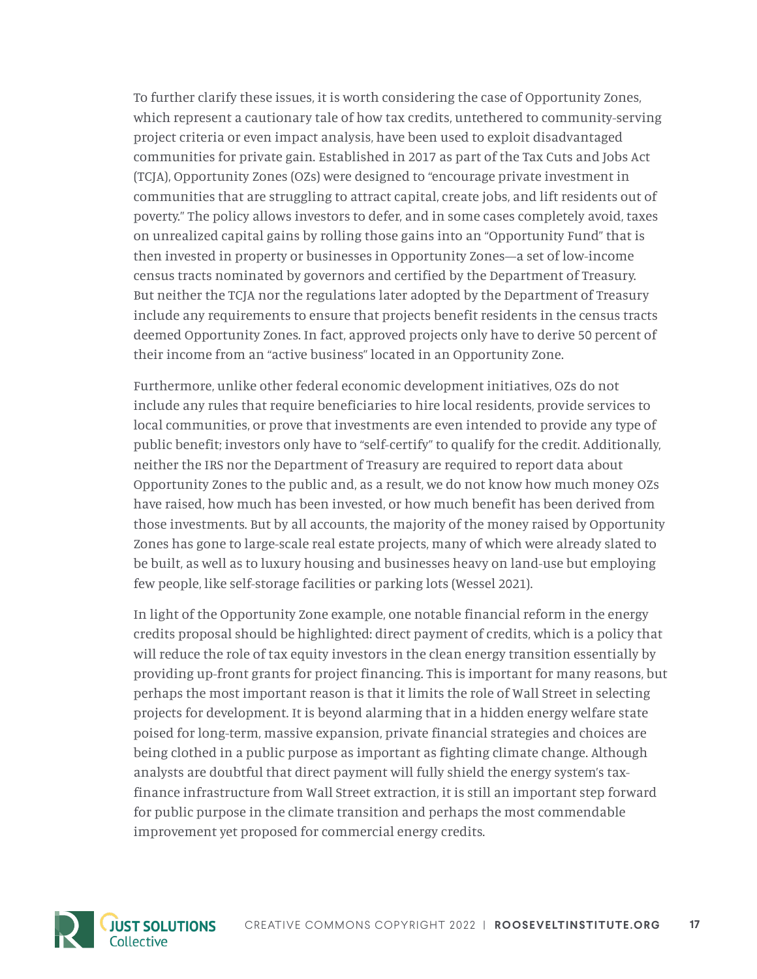To further clarify these issues, it is worth considering the case of Opportunity Zones, which represent a cautionary tale of how tax credits, untethered to community-serving project criteria or even impact analysis, have been used to exploit disadvantaged communities for private gain. Established in 2017 as part of the Tax Cuts and Jobs Act (TCJA), Opportunity Zones (OZs) were designed to "encourage private investment in communities that are struggling to attract capital, create jobs, and lift residents out of poverty." The policy allows investors to defer, and in some cases completely avoid, taxes on unrealized capital gains by rolling those gains into an "Opportunity Fund" that is then invested in property or businesses in Opportunity Zones—a set of low-income census tracts nominated by governors and certified by the Department of Treasury. But neither the TCJA nor the regulations later adopted by the Department of Treasury include any requirements to ensure that projects benefit residents in the census tracts deemed Opportunity Zones. In fact, approved projects only have to derive 50 percent of their income from an "active business" located in an Opportunity Zone.

Furthermore, unlike other federal economic development initiatives, OZs do not include any rules that require beneficiaries to hire local residents, provide services to local communities, or prove that investments are even intended to provide any type of public benefit; investors only have to "self-certify" to qualify for the credit. Additionally, neither the IRS nor the Department of Treasury are required to report data about Opportunity Zones to the public and, as a result, we do not know how much money OZs have raised, how much has been invested, or how much benefit has been derived from those investments. But by all accounts, the majority of the money raised by Opportunity Zones has gone to large-scale real estate projects, many of which were already slated to be built, as well as to luxury housing and businesses heavy on land-use but employing few people, like self-storage facilities or parking lots (Wessel 2021).

In light of the Opportunity Zone example, one notable financial reform in the energy credits proposal should be highlighted: direct payment of credits, which is a policy that will reduce the role of tax equity investors in the clean energy transition essentially by providing up-front grants for project financing. This is important for many reasons, but perhaps the most important reason is that it limits the role of Wall Street in selecting projects for development. It is beyond alarming that in a hidden energy welfare state poised for long-term, massive expansion, private financial strategies and choices are being clothed in a public purpose as important as fighting climate change. Although analysts are doubtful that direct payment will fully shield the energy system's taxfinance infrastructure from Wall Street extraction, it is still an important step forward for public purpose in the climate transition and perhaps the most commendable improvement yet proposed for commercial energy credits.

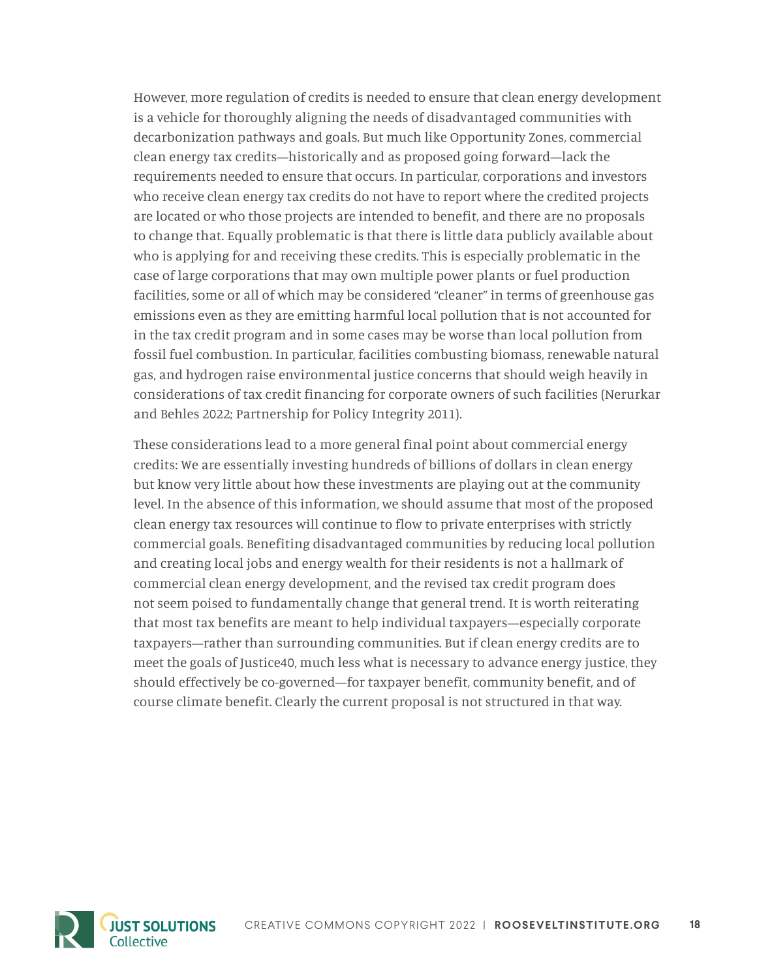However, more regulation of credits is needed to ensure that clean energy development is a vehicle for thoroughly aligning the needs of disadvantaged communities with decarbonization pathways and goals. But much like Opportunity Zones, commercial clean energy tax credits—historically and as proposed going forward—lack the requirements needed to ensure that occurs. In particular, corporations and investors who receive clean energy tax credits do not have to report where the credited projects are located or who those projects are intended to benefit, and there are no proposals to change that. Equally problematic is that there is little data publicly available about who is applying for and receiving these credits. This is especially problematic in the case of large corporations that may own multiple power plants or fuel production facilities, some or all of which may be considered "cleaner" in terms of greenhouse gas emissions even as they are emitting harmful local pollution that is not accounted for in the tax credit program and in some cases may be worse than local pollution from fossil fuel combustion. In particular, facilities combusting biomass, renewable natural gas, and hydrogen raise environmental justice concerns that should weigh heavily in considerations of tax credit financing for corporate owners of such facilities (Nerurkar and Behles 2022; Partnership for Policy Integrity 2011).

These considerations lead to a more general final point about commercial energy credits: We are essentially investing hundreds of billions of dollars in clean energy but know very little about how these investments are playing out at the community level. In the absence of this information, we should assume that most of the proposed clean energy tax resources will continue to flow to private enterprises with strictly commercial goals. Benefiting disadvantaged communities by reducing local pollution and creating local jobs and energy wealth for their residents is not a hallmark of commercial clean energy development, and the revised tax credit program does not seem poised to fundamentally change that general trend. It is worth reiterating that most tax benefits are meant to help individual taxpayers—especially corporate taxpayers—rather than surrounding communities. But if clean energy credits are to meet the goals of Justice40, much less what is necessary to advance energy justice, they should effectively be co-governed—for taxpayer benefit, community benefit, and of course climate benefit. Clearly the current proposal is not structured in that way.

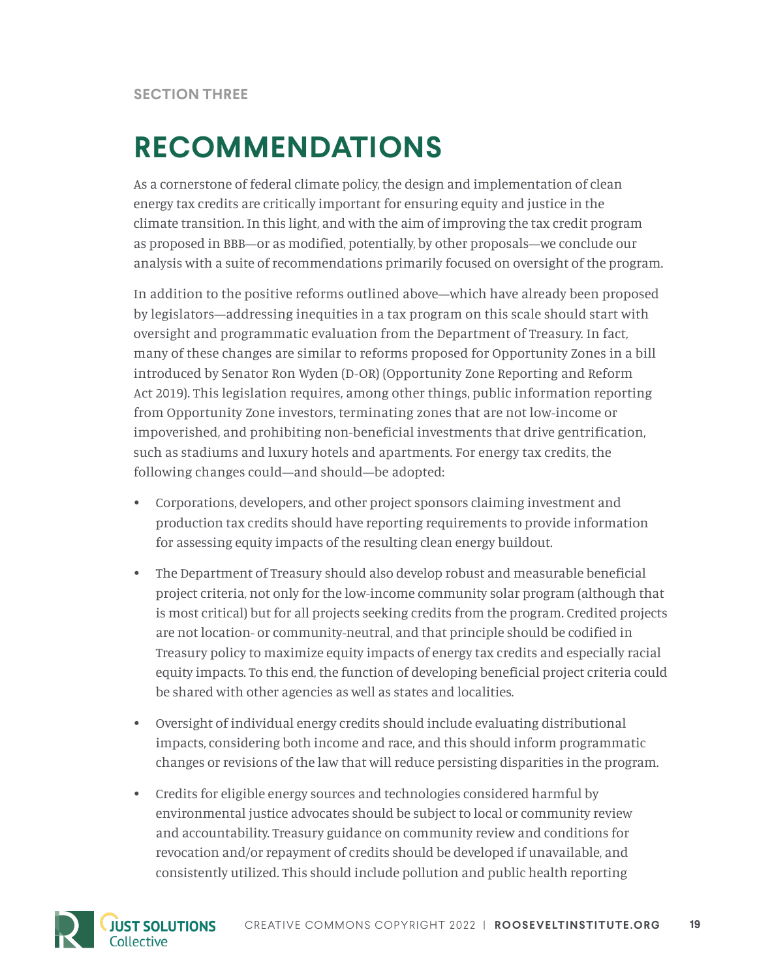## **RECOMMENDATIONS**

As a cornerstone of federal climate policy, the design and implementation of clean energy tax credits are critically important for ensuring equity and justice in the climate transition. In this light, and with the aim of improving the tax credit program as proposed in BBB—or as modified, potentially, by other proposals—we conclude our analysis with a suite of recommendations primarily focused on oversight of the program.

In addition to the positive reforms outlined above—which have already been proposed by legislators—addressing inequities in a tax program on this scale should start with oversight and programmatic evaluation from the Department of Treasury. In fact, many of these changes are similar to reforms proposed for Opportunity Zones in a bill introduced by Senator Ron Wyden (D-OR) (Opportunity Zone Reporting and Reform Act 2019). This legislation requires, among other things, public information reporting from Opportunity Zone investors, terminating zones that are not low-income or impoverished, and prohibiting non-beneficial investments that drive gentrification, such as stadiums and luxury hotels and apartments. For energy tax credits, the following changes could—and should—be adopted:

- Corporations, developers, and other project sponsors claiming investment and production tax credits should have reporting requirements to provide information for assessing equity impacts of the resulting clean energy buildout.
- The Department of Treasury should also develop robust and measurable beneficial project criteria, not only for the low-income community solar program (although that is most critical) but for all projects seeking credits from the program. Credited projects are not location- or community-neutral, and that principle should be codified in Treasury policy to maximize equity impacts of energy tax credits and especially racial equity impacts. To this end, the function of developing beneficial project criteria could be shared with other agencies as well as states and localities.
- Oversight of individual energy credits should include evaluating distributional impacts, considering both income and race, and this should inform programmatic changes or revisions of the law that will reduce persisting disparities in the program.
- Credits for eligible energy sources and technologies considered harmful by environmental justice advocates should be subject to local or community review and accountability. Treasury guidance on community review and conditions for revocation and/or repayment of credits should be developed if unavailable, and consistently utilized. This should include pollution and public health reporting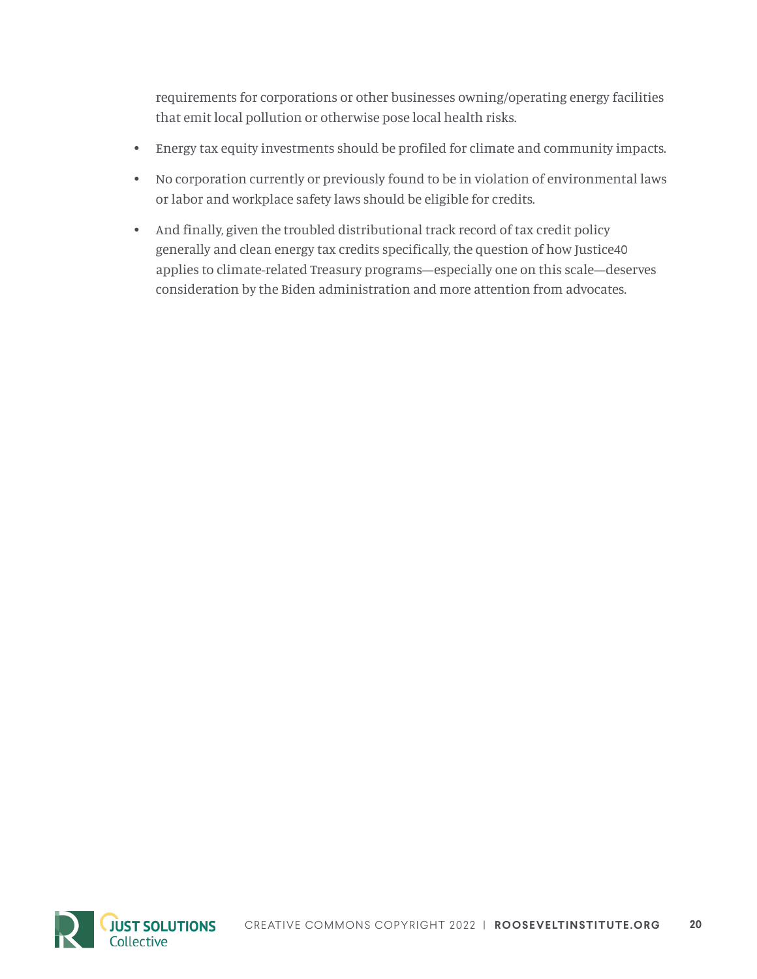requirements for corporations or other businesses owning/operating energy facilities that emit local pollution or otherwise pose local health risks.

- Energy tax equity investments should be profiled for climate and community impacts.
- No corporation currently or previously found to be in violation of environmental laws or labor and workplace safety laws should be eligible for credits.
- And finally, given the troubled distributional track record of tax credit policy generally and clean energy tax credits specifically, the question of how Justice40 applies to climate-related Treasury programs—especially one on this scale—deserves consideration by the Biden administration and more attention from advocates.

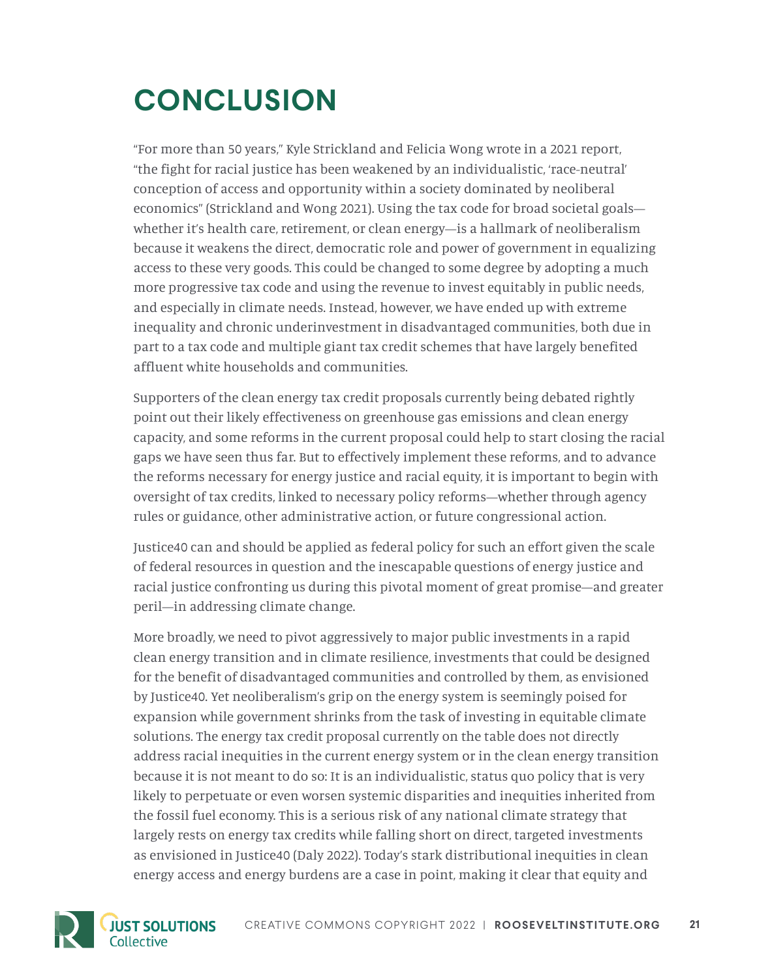# **CONCLUSION**

"For more than 50 years," Kyle Strickland and Felicia Wong wrote in a 2021 report, "the fight for racial justice has been weakened by an individualistic, 'race-neutral' conception of access and opportunity within a society dominated by neoliberal economics" (Strickland and Wong 2021). Using the tax code for broad societal goals whether it's health care, retirement, or clean energy—is a hallmark of neoliberalism because it weakens the direct, democratic role and power of government in equalizing access to these very goods. This could be changed to some degree by adopting a much more progressive tax code and using the revenue to invest equitably in public needs, and especially in climate needs. Instead, however, we have ended up with extreme inequality and chronic underinvestment in disadvantaged communities, both due in part to a tax code and multiple giant tax credit schemes that have largely benefited affluent white households and communities.

Supporters of the clean energy tax credit proposals currently being debated rightly point out their likely effectiveness on greenhouse gas emissions and clean energy capacity, and some reforms in the current proposal could help to start closing the racial gaps we have seen thus far. But to effectively implement these reforms, and to advance the reforms necessary for energy justice and racial equity, it is important to begin with oversight of tax credits, linked to necessary policy reforms—whether through agency rules or guidance, other administrative action, or future congressional action.

Justice40 can and should be applied as federal policy for such an effort given the scale of federal resources in question and the inescapable questions of energy justice and racial justice confronting us during this pivotal moment of great promise—and greater peril—in addressing climate change.

More broadly, we need to pivot aggressively to major public investments in a rapid clean energy transition and in climate resilience, investments that could be designed for the benefit of disadvantaged communities and controlled by them, as envisioned by Justice40. Yet neoliberalism's grip on the energy system is seemingly poised for expansion while government shrinks from the task of investing in equitable climate solutions. The energy tax credit proposal currently on the table does not directly address racial inequities in the current energy system or in the clean energy transition because it is not meant to do so: It is an individualistic, status quo policy that is very likely to perpetuate or even worsen systemic disparities and inequities inherited from the fossil fuel economy. This is a serious risk of any national climate strategy that largely rests on energy tax credits while falling short on direct, targeted investments as envisioned in Justice40 (Daly 2022). Today's stark distributional inequities in clean energy access and energy burdens are a case in point, making it clear that equity and

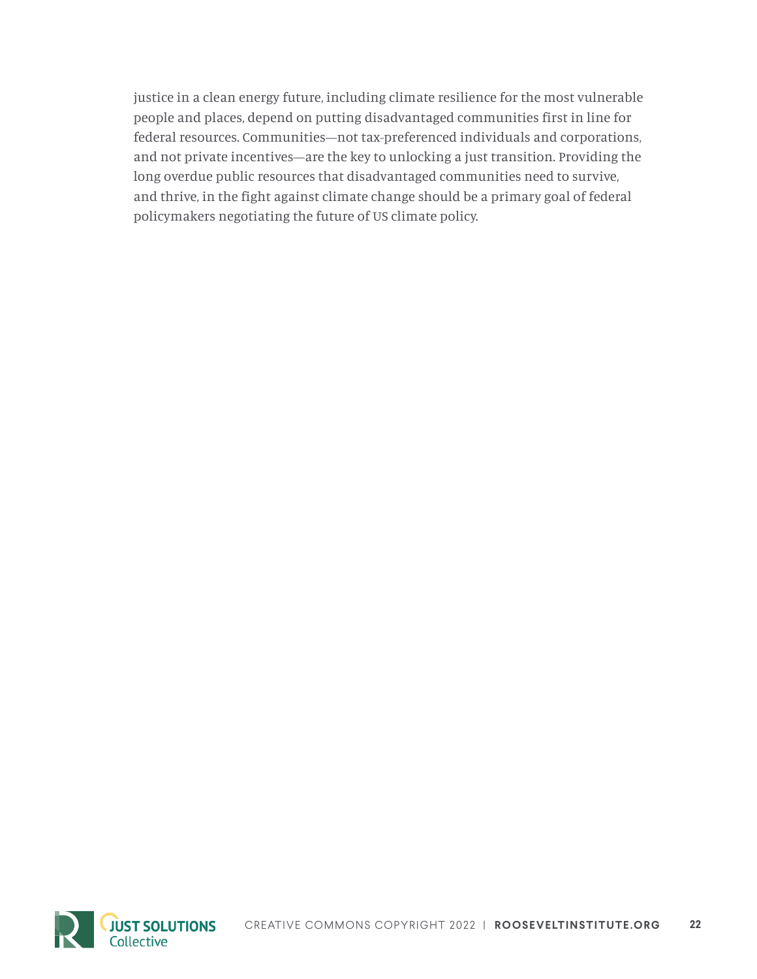justice in a clean energy future, including climate resilience for the most vulnerable people and places, depend on putting disadvantaged communities first in line for federal resources. Communities—not tax-preferenced individuals and corporations, and not private incentives—are the key to unlocking a just transition. Providing the long overdue public resources that disadvantaged communities need to survive, and thrive, in the fight against climate change should be a primary goal of federal policymakers negotiating the future of US climate policy.

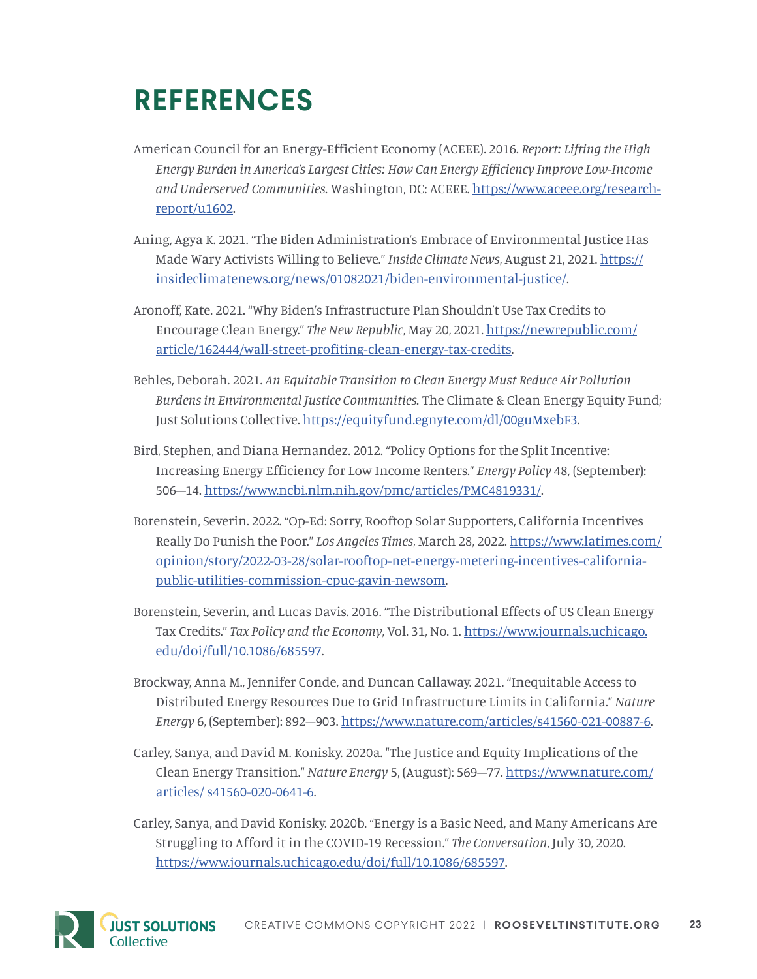# **REFERENCES**

- American Council for an Energy-Efficient Economy (ACEEE). 2016. *Report: Lifting the High Energy Burden in America's Largest Cities: How Can Energy Efficiency Improve Low-Income and Underserved Communities.* Washington, DC: ACEEE. [https://www.aceee.org/research](https://www.aceee.org/research-report/u1602)[report/u1602.](https://www.aceee.org/research-report/u1602)
- Aning, Agya K. 2021. "The Biden Administration's Embrace of Environmental Justice Has Made Wary Activists Willing to Believe." *Inside Climate News*, August 21, 2021. [https://](https://insideclimatenews.org/news/01082021/biden-environmental-justice/) [insideclimatenews.org/news/01082021/biden-environmental-justice/](https://insideclimatenews.org/news/01082021/biden-environmental-justice/).
- Aronoff, Kate. 2021. "Why Biden's Infrastructure Plan Shouldn't Use Tax Credits to Encourage Clean Energy." *The New Republic*, May 20, 2021. [https://newrepublic.com/](https://newrepublic.com/article/162444/wall-street-profiting-clean-energy-tax-credits) [article/162444/wall-street-profiting-clean-energy-tax-credits.](https://newrepublic.com/article/162444/wall-street-profiting-clean-energy-tax-credits)
- Behles, Deborah. 2021. *An Equitable Transition to Clean Energy Must Reduce Air Pollution Burdens in Environmental Justice Communities.* The Climate & Clean Energy Equity Fund; Just Solutions Collective.<https://equityfund.egnyte.com/dl/00guMxebF3>.
- Bird, Stephen, and Diana Hernandez. 2012. "Policy Options for the Split Incentive: Increasing Energy Efficiency for Low Income Renters." *Energy Policy* 48, (September): 506–14. [https://www.ncbi.nlm.nih.gov/pmc/articles/PMC4819331/.](https://www.ncbi.nlm.nih.gov/pmc/articles/PMC4819331/)
- Borenstein, Severin. 2022. "Op-Ed: Sorry, Rooftop Solar Supporters, California Incentives Really Do Punish the Poor." *Los Angeles Times*, March 28, 2022. [https://www.latimes.com/](https://www.latimes.com/opinion/story/2022-03-28/solar-rooftop-net-energy-metering-incentives-california-public-utilities-commission-cpuc-gavin-newsom) [opinion/story/2022-03-28/solar-rooftop-net-energy-metering-incentives-california](https://www.latimes.com/opinion/story/2022-03-28/solar-rooftop-net-energy-metering-incentives-california-public-utilities-commission-cpuc-gavin-newsom)[public-utilities-commission-cpuc-gavin-newsom](https://www.latimes.com/opinion/story/2022-03-28/solar-rooftop-net-energy-metering-incentives-california-public-utilities-commission-cpuc-gavin-newsom).
- Borenstein, Severin, and Lucas Davis. 2016. "The Distributional Effects of US Clean Energy Tax Credits." *Tax Policy and the Economy*, Vol. 31, No. 1. [https://www.journals.uchicago.](https://www.journals.uchicago.edu/doi/full/10.1086/685597) [edu/doi/full/10.1086/685597](https://www.journals.uchicago.edu/doi/full/10.1086/685597).
- Brockway, Anna M., Jennifer Conde, and Duncan Callaway. 2021. "Inequitable Access to Distributed Energy Resources Due to Grid Infrastructure Limits in California." *Nature Energy* 6, (September): 892–903.<https://www.nature.com/articles/s41560-021-00887-6>.
- Carley, Sanya, and David M. Konisky. 2020a. "The Justice and Equity Implications of the Clean Energy Transition." *Nature Energy* 5, (August): 569–77. [https://www.nature.com/](https://www.nature.com/articles/ s41560-020-0641-6) [articles/ s41560-020-0641-6.](https://www.nature.com/articles/ s41560-020-0641-6)
- Carley, Sanya, and David Konisky. 2020b. "Energy is a Basic Need, and Many Americans Are Struggling to Afford it in the COVID-19 Recession." *The Conversation*, July 30, 2020. [https://www.journals.uchicago.edu/doi/full/10.1086/685597.](https://www.journals.uchicago.edu/doi/full/10.1086/685597)

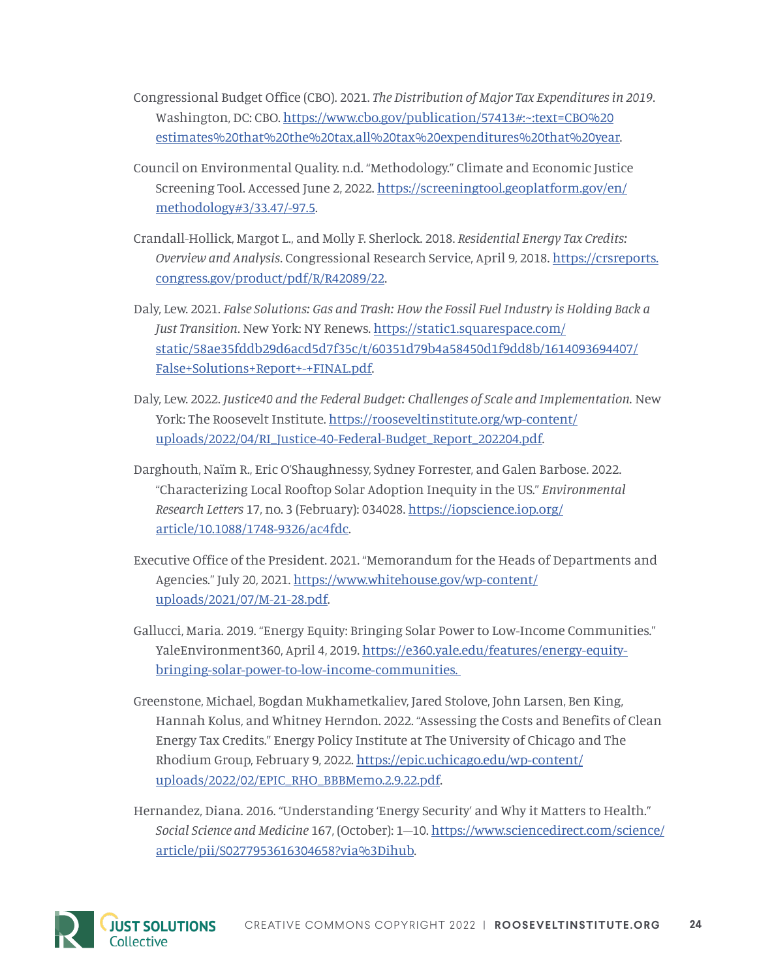- Congressional Budget Office (CBO). 2021. *The Distribution of Major Tax Expenditures in 2019*. Washington, DC: CBO. [https://www.cbo.gov/publication/57413#:~:text=CBO%20](https://www.cbo.gov/publication/57413#:~:text=CBO estimates that the tax,all tax expenditures that year) [estimates%20that%20the%20tax,all%20tax%20expenditures%20that%20year](https://www.cbo.gov/publication/57413#:~:text=CBO estimates that the tax,all tax expenditures that year).
- Council on Environmental Quality. n.d. "Methodology." Climate and Economic Justice Screening Tool. Accessed June 2, 2022. [https://screeningtool.geoplatform.gov/en/](https://screeningtool.geoplatform.gov/en/methodology#3/33.47/-97.5) [methodology#3/33.47/-97.5](https://screeningtool.geoplatform.gov/en/methodology#3/33.47/-97.5).
- Crandall-Hollick, Margot L., and Molly F. Sherlock. 2018. *Residential Energy Tax Credits: Overview and Analysis*. Congressional Research Service, April 9, 2018. [https://crsreports.](https://crsreports.congress.gov/product/pdf/R/R42089/22) [congress.gov/product/pdf/R/R42089/22](https://crsreports.congress.gov/product/pdf/R/R42089/22).
- Daly, Lew. 2021. *False Solutions: Gas and Trash: How the Fossil Fuel Industry is Holding Back a Just Transition*. New York: NY Renews. [https://static1.squarespace.com/](https://static1.squarespace.com/static/58ae35fddb29d6acd5d7f35c/t/60351d79b4a58450d1f9dd8b/1614093694407/False+Solutions+Report+-+FINAL.pdf) [static/58ae35fddb29d6acd5d7f35c/t/60351d79b4a58450d1f9dd8b/1614093694407/](https://static1.squarespace.com/static/58ae35fddb29d6acd5d7f35c/t/60351d79b4a58450d1f9dd8b/1614093694407/False+Solutions+Report+-+FINAL.pdf) [False+Solutions+Report+-+FINAL.pdf.](https://static1.squarespace.com/static/58ae35fddb29d6acd5d7f35c/t/60351d79b4a58450d1f9dd8b/1614093694407/False+Solutions+Report+-+FINAL.pdf)
- Daly, Lew. 2022. *Justice40 and the Federal Budget: Challenges of Scale and Implementation.* New York: The Roosevelt Institute. [https://rooseveltinstitute.org/wp-content/](https://rooseveltinstitute.org/wp-content/uploads/2022/04/RI_Justice-40-Federal-Budget_Report_202204.pdf) [uploads/2022/04/RI\\_Justice-40-Federal-Budget\\_Report\\_202204.pdf.](https://rooseveltinstitute.org/wp-content/uploads/2022/04/RI_Justice-40-Federal-Budget_Report_202204.pdf)
- Darghouth, Naïm R., Eric O'Shaughnessy, Sydney Forrester, and Galen Barbose. 2022. "Characterizing Local Rooftop Solar Adoption Inequity in the US." *Environmental Research Letters* 17, no. 3 (February): 034028. [https://iopscience.iop.org/](https://iopscience.iop.org/article/10.1088/1748-9326/ac4fdc) [article/10.1088/1748-9326/ac4fdc.](https://iopscience.iop.org/article/10.1088/1748-9326/ac4fdc)
- Executive Office of the President. 2021. "Memorandum for the Heads of Departments and Agencies." July 20, 2021. [https://www.whitehouse.gov/wp-content/](https://www.whitehouse.gov/wp-content/uploads/2021/07/M-21-28.pdf) [uploads/2021/07/M-21-28.pdf.](https://www.whitehouse.gov/wp-content/uploads/2021/07/M-21-28.pdf)
- Gallucci, Maria. 2019. "Energy Equity: Bringing Solar Power to Low-Income Communities." YaleEnvironment360, April 4, 2019. [https://e360.yale.edu/features/energy-equity](https://e360.yale.edu/features/energy-equity-bringing-solar-power-to-low-income-communities. )[bringing-solar-power-to-low-income-communities.](https://e360.yale.edu/features/energy-equity-bringing-solar-power-to-low-income-communities. )
- Greenstone, Michael, Bogdan Mukhametkaliev, Jared Stolove, John Larsen, Ben King, Hannah Kolus, and Whitney Herndon. 2022. "Assessing the Costs and Benefits of Clean Energy Tax Credits." Energy Policy Institute at The University of Chicago and The Rhodium Group, February 9, 2022. [https://epic.uchicago.edu/wp-content/](https://epic.uchicago.edu/wp-content/uploads/2022/02/EPIC_RHO_BBBMemo.2.9.22.pdf) [uploads/2022/02/EPIC\\_RHO\\_BBBMemo.2.9.22.pdf](https://epic.uchicago.edu/wp-content/uploads/2022/02/EPIC_RHO_BBBMemo.2.9.22.pdf).
- Hernandez, Diana. 2016. "Understanding 'Energy Security' and Why it Matters to Health." *Social Science and Medicine* 167, (October): 1–10. [https://www.sciencedirect.com/science/](https://www.sciencedirect.com/science/article/pii/S0277953616304658?via%3Dihub) [article/pii/S0277953616304658?via%3Dihub](https://www.sciencedirect.com/science/article/pii/S0277953616304658?via%3Dihub).

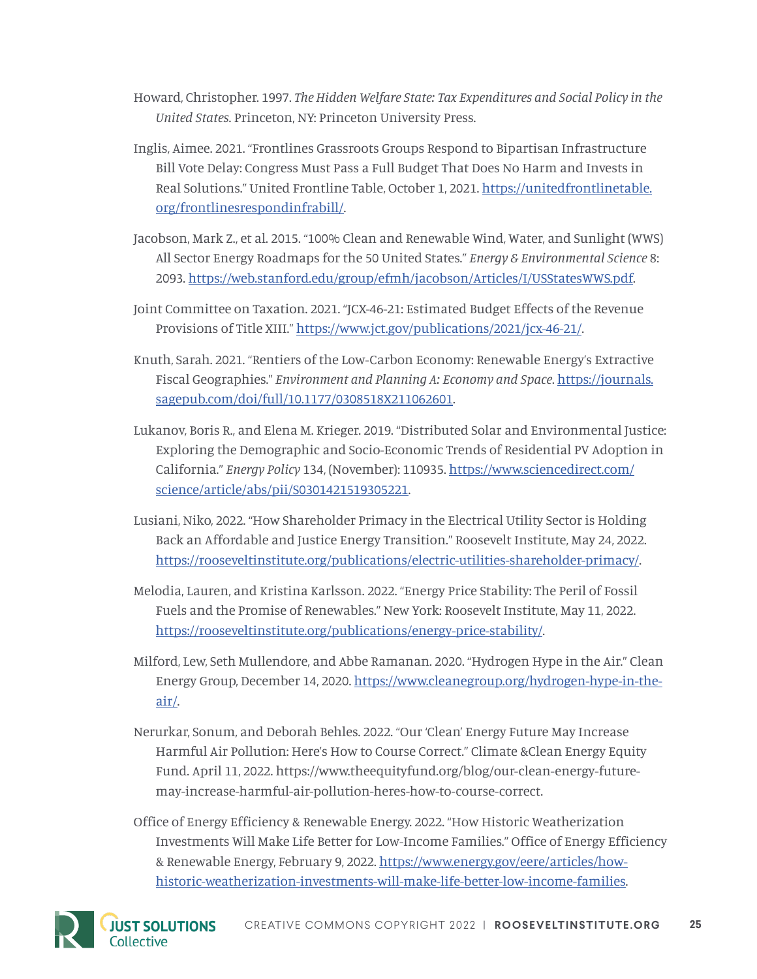- Howard, Christopher. 1997. *The Hidden Welfare State: Tax Expenditures and Social Policy in the United States*. Princeton, NY: Princeton University Press.
- Inglis, Aimee. 2021. "Frontlines Grassroots Groups Respond to Bipartisan Infrastructure Bill Vote Delay: Congress Must Pass a Full Budget That Does No Harm and Invests in Real Solutions." United Frontline Table, October 1, 2021. [https://unitedfrontlinetable.](https://unitedfrontlinetable.org/frontlinesrespondinfrabill/) [org/frontlinesrespondinfrabill/.](https://unitedfrontlinetable.org/frontlinesrespondinfrabill/)
- Jacobson, Mark Z., et al. 2015. "100% Clean and Renewable Wind, Water, and Sunlight (WWS) All Sector Energy Roadmaps for the 50 United States." *Energy & Environmental Science* 8: 2093.<https://web.stanford.edu/group/efmh/jacobson/Articles/I/USStatesWWS.pdf>.
- Joint Committee on Taxation. 2021. "JCX-46-21: Estimated Budget Effects of the Revenue Provisions of Title XIII." [https://www.jct.gov/publications/2021/jcx-46-21/.](https://www.jct.gov/publications/2021/jcx-46-21/)
- Knuth, Sarah. 2021. "Rentiers of the Low-Carbon Economy: Renewable Energy's Extractive Fiscal Geographies." *Environment and Planning A: Economy and Space*. [https://journals.](https://journals.sagepub.com/doi/full/10.1177/0308518X211062601) [sagepub.com/doi/full/10.1177/0308518X211062601](https://journals.sagepub.com/doi/full/10.1177/0308518X211062601).
- Lukanov, Boris R., and Elena M. Krieger. 2019. "Distributed Solar and Environmental Justice: Exploring the Demographic and Socio-Economic Trends of Residential PV Adoption in California." *Energy Policy* 134, (November): 110935. [https://www.sciencedirect.com/](https://www.sciencedirect.com/science/article/abs/pii/S0301421519305221) [science/article/abs/pii/S0301421519305221](https://www.sciencedirect.com/science/article/abs/pii/S0301421519305221).
- Lusiani, Niko, 2022. "How Shareholder Primacy in the Electrical Utility Sector is Holding Back an Affordable and Justice Energy Transition." Roosevelt Institute, May 24, 2022. <https://rooseveltinstitute.org/publications/electric-utilities-shareholder-primacy/>.
- Melodia, Lauren, and Kristina Karlsson. 2022. "Energy Price Stability: The Peril of Fossil Fuels and the Promise of Renewables." New York: Roosevelt Institute, May 11, 2022. [https://rooseveltinstitute.org/publications/energy-price-stability/.](https://rooseveltinstitute.org/publications/energy-price-stability/)
- Milford, Lew, Seth Mullendore, and Abbe Ramanan. 2020. "Hydrogen Hype in the Air." Clean Energy Group, December 14, 2020. [https://www.cleanegroup.org/hydrogen-hype-in-the](https://www.cleanegroup.org/hydrogen-hype-in-the-air/)[air/](https://www.cleanegroup.org/hydrogen-hype-in-the-air/).
- Nerurkar, Sonum, and Deborah Behles. 2022. "Our 'Clean' Energy Future May Increase Harmful Air Pollution: Here's How to Course Correct." Climate &Clean Energy Equity Fund. April 11, 2022. https://www.theequityfund.org/blog/our-clean-energy-futuremay-increase-harmful-air-pollution-heres-how-to-course-correct.
- Office of Energy Efficiency & Renewable Energy. 2022. "How Historic Weatherization Investments Will Make Life Better for Low-Income Families." Office of Energy Efficiency & Renewable Energy, February 9, 2022. [https://www.energy.gov/eere/articles/how](https://www.energy.gov/eere/articles/how-historic-weatherization-investments-will-make-life-better-low-income-families. )[historic-weatherization-investments-will-make-life-better-low-income-families.](https://www.energy.gov/eere/articles/how-historic-weatherization-investments-will-make-life-better-low-income-families. )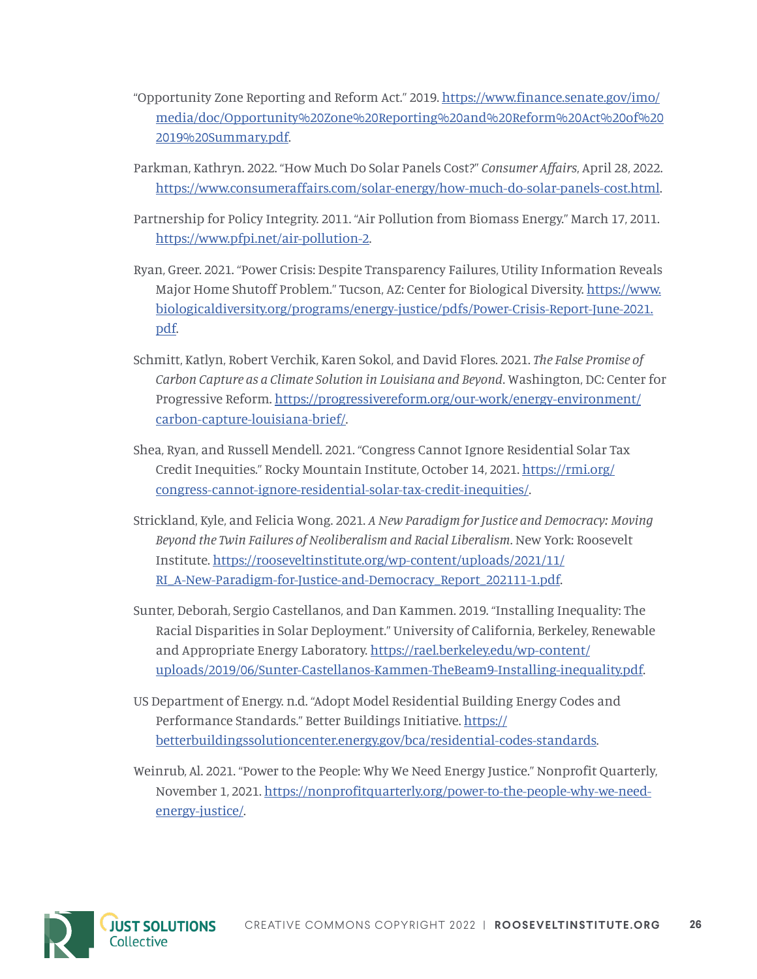- "Opportunity Zone Reporting and Reform Act." 2019. [https://www.finance.senate.gov/imo/](https://www.finance.senate.gov/imo/media/doc/Opportunity Zone Reporting and Reform Act of 2019 Summary.pdf) [media/doc/Opportunity%20Zone%20Reporting%20and%20Reform%20Act%20of%20](https://www.finance.senate.gov/imo/media/doc/Opportunity Zone Reporting and Reform Act of 2019 Summary.pdf) [2019%20Summary.pdf](https://www.finance.senate.gov/imo/media/doc/Opportunity Zone Reporting and Reform Act of 2019 Summary.pdf).
- Parkman, Kathryn. 2022. "How Much Do Solar Panels Cost?" *Consumer Affairs*, April 28, 2022. [https://www.consumeraffairs.com/solar-energy/how-much-do-solar-panels-cost.html.](https://www.consumeraffairs.com/solar-energy/how-much-do-solar-panels-cost.html)
- Partnership for Policy Integrity. 2011. "Air Pollution from Biomass Energy." March 17, 2011. [https://www.pfpi.net/air-pollution-2.](https://www.pfpi.net/air-pollution-2)
- Ryan, Greer. 2021. "Power Crisis: Despite Transparency Failures, Utility Information Reveals Major Home Shutoff Problem." Tucson, AZ: Center for Biological Diversity. [https://www.](https://www.biologicaldiversity.org/programs/energy-justice/pdfs/Power-Crisis-Report-June-2021.pdf) [biologicaldiversity.org/programs/energy-justice/pdfs/Power-Crisis-Report-June-2021.](https://www.biologicaldiversity.org/programs/energy-justice/pdfs/Power-Crisis-Report-June-2021.pdf) [pdf](https://www.biologicaldiversity.org/programs/energy-justice/pdfs/Power-Crisis-Report-June-2021.pdf).
- Schmitt, Katlyn, Robert Verchik, Karen Sokol, and David Flores. 2021. *The False Promise of Carbon Capture as a Climate Solution in Louisiana and Beyond*. Washington, DC: Center for Progressive Reform. [https://progressivereform.org/our-work/energy-environment/](https://progressivereform.org/our-work/energy-environment/carbon-capture-louisiana-brief/) [carbon-capture-louisiana-brief/.](https://progressivereform.org/our-work/energy-environment/carbon-capture-louisiana-brief/)
- Shea, Ryan, and Russell Mendell. 2021. "Congress Cannot Ignore Residential Solar Tax Credit Inequities." Rocky Mountain Institute, October 14, 2021. [https://rmi.org/](https://rmi.org/congress-cannot-ignore-residential-solar-tax-credit-inequities/) [congress-cannot-ignore-residential-solar-tax-credit-inequities/.](https://rmi.org/congress-cannot-ignore-residential-solar-tax-credit-inequities/)
- Strickland, Kyle, and Felicia Wong. 2021. *A New Paradigm for Justice and Democracy: Moving Beyond the Twin Failures of Neoliberalism and Racial Liberalism*. New York: Roosevelt Institute. [https://rooseveltinstitute.org/wp-content/uploads/2021/11/](https://rooseveltinstitute.org/wp-content/uploads/2021/11/RI_A-New-Paradigm-for-Justice-and-Democracy_Report_202111-1.pdf) [RI\\_A-New-Paradigm-for-Justice-and-Democracy\\_Report\\_202111-1.pdf](https://rooseveltinstitute.org/wp-content/uploads/2021/11/RI_A-New-Paradigm-for-Justice-and-Democracy_Report_202111-1.pdf).
- Sunter, Deborah, Sergio Castellanos, and Dan Kammen. 2019. "Installing Inequality: The Racial Disparities in Solar Deployment." University of California, Berkeley, Renewable and Appropriate Energy Laboratory. [https://rael.berkeley.edu/wp-content/](https://rael.berkeley.edu/wp-content/uploads/2019/06/Sunter-Castellanos-Kammen-TheBeam9-Installing-inequality.pdf) [uploads/2019/06/Sunter-Castellanos-Kammen-TheBeam9-Installing-inequality.pdf](https://rael.berkeley.edu/wp-content/uploads/2019/06/Sunter-Castellanos-Kammen-TheBeam9-Installing-inequality.pdf).
- US Department of Energy. n.d. "Adopt Model Residential Building Energy Codes and Performance Standards." Better Buildings Initiative. [https://](https://betterbuildingssolutioncenter.energy.gov/bca/residential-codes-standards. ) [betterbuildingssolutioncenter.energy.gov/bca/residential-codes-standards.](https://betterbuildingssolutioncenter.energy.gov/bca/residential-codes-standards. )
- Weinrub, Al. 2021. "Power to the People: Why We Need Energy Justice." Nonprofit Quarterly, November 1, 2021. [https://nonprofitquarterly.org/power-to-the-people-why-we-need](https://nonprofitquarterly.org/power-to-the-people-why-we-need-energy-justice/)[energy-justice/](https://nonprofitquarterly.org/power-to-the-people-why-we-need-energy-justice/).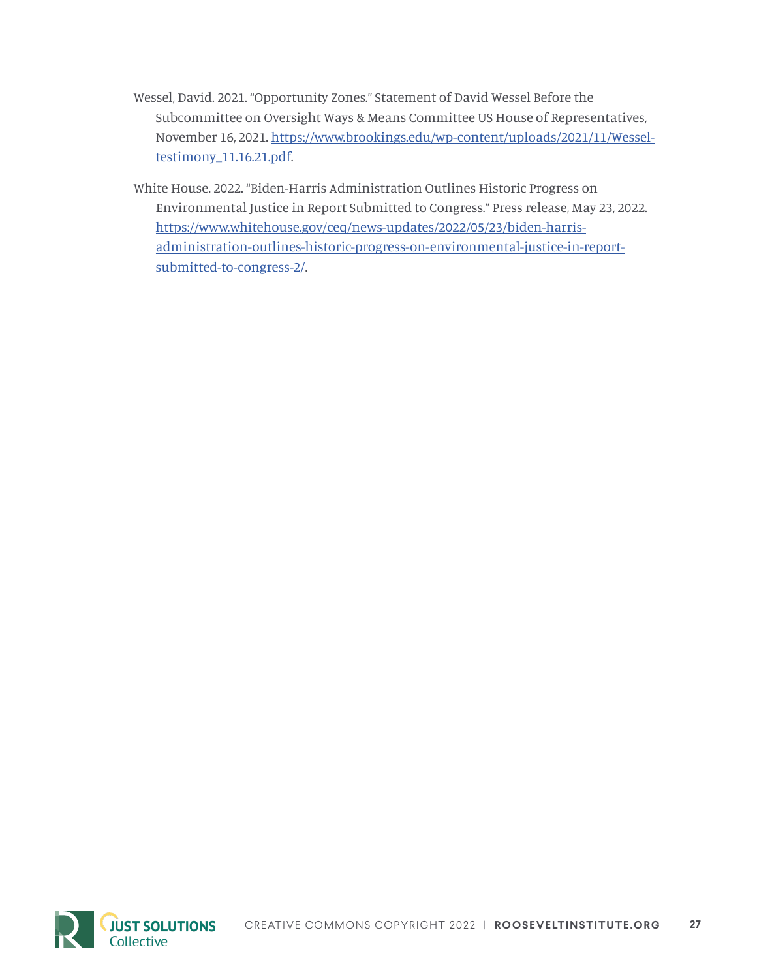- Wessel, David. 2021. "Opportunity Zones." Statement of David Wessel Before the Subcommittee on Oversight Ways & Means Committee US House of Representatives, November 16, 2021. [https://www.brookings.edu/wp-content/uploads/2021/11/Wessel](https://www.brookings.edu/wp-content/uploads/2021/11/Wessel-testimony_11.16.21.pdf)[testimony\\_11.16.21.pdf](https://www.brookings.edu/wp-content/uploads/2021/11/Wessel-testimony_11.16.21.pdf).
- White House. 2022. "Biden-Harris Administration Outlines Historic Progress on Environmental Justice in Report Submitted to Congress." Press release, May 23, 2022. [https://www.whitehouse.gov/ceq/news-updates/2022/05/23/biden-harris](https://www.whitehouse.gov/ceq/news-updates/2022/05/23/biden-harris-administration-outlines-historic-progress-on-environmental-justice-in-report-submitted-to-congress-2/)[administration-outlines-historic-progress-on-environmental-justice-in-report](https://www.whitehouse.gov/ceq/news-updates/2022/05/23/biden-harris-administration-outlines-historic-progress-on-environmental-justice-in-report-submitted-to-congress-2/)[submitted-to-congress-2/.](https://www.whitehouse.gov/ceq/news-updates/2022/05/23/biden-harris-administration-outlines-historic-progress-on-environmental-justice-in-report-submitted-to-congress-2/)